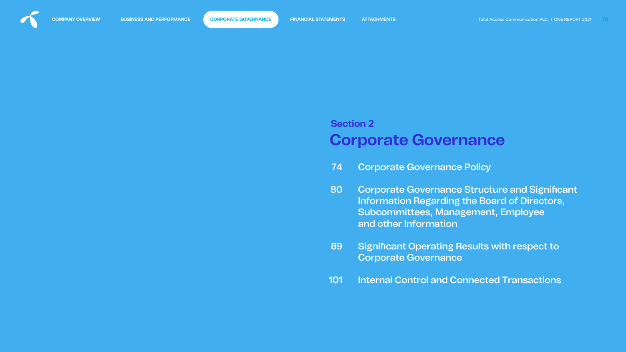# **Corporate Governance Section 2**

- [Corporate Governance Policy](#page-1-0) 74
- **Corporate Governance Structure and Significant** Information Regarding the Board of Directors, Subcommittees, Management, Employee and other Information 80
- **Significant Operating Results with respect to** Corporate Governance 89
- [Internal Control and Connected Transactions](#page-28-0)  101



<span id="page-0-0"></span>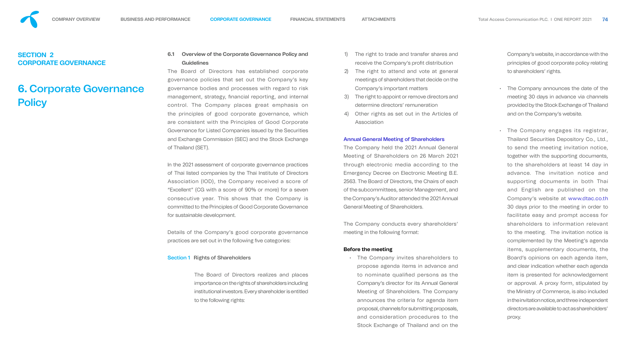# <span id="page-1-0"></span>**SECTION 2 CORPORATE GOVERNANCE**

# **6.** Corporate Governance **Policy**

# **6.1 Overview of the Corporate Governance Policy and Guidelines**

The Board of Directors has established corporate governance policies that set out the Company's key governance bodies and processes with regard to risk management, strategy, financial reporting, and internal control. The Company places great emphasis on the principles of good corporate governance, which are consistent with the Principles of Good Corporate Governance for Listed Companies issued by the Securities and Exchange Commission (SEC) and the Stock Exchange of Thailand (SET).

Details of the Company's good corporate governance practices are set out in the following five categories:

In the 2021 assessment of corporate governance practices of Thai listed companies by the Thai Institute of Directors Association (IOD), the Company received a score of "Excellent" (CG with a score of 90% or more) for a seven consecutive year. This shows that the Company is committed to the Principles of Good Corporate Governance for sustainable development.

- The right to trade and transfer shares and receive the Company's profit distribution
- 2) The right to attend and vote at general meetings of shareholders that decide on the Company's important matters
- 3) The right to appoint or remove directors and determine directors' remuneration
- 4) Other rights as set out in the Articles of Association

#### Section 1 Rights of Shareholders

The Board of Directors realizes and places importance on the rights of shareholders including institutional investors. Every shareholder is entitled to the following rights:

#### Annual General Meeting of Shareholders

The Company held the 2021 Annual General Meeting of Shareholders on 26 March 2021 through electronic media according to the Emergency Decree on Electronic Meeting B.E. 2563. The Board of Directors, the Chairs of each of the subcommittees, senior Management, and the Company's Auditor attended the 2021 Annual General Meeting of Shareholders.

The Company conducts every shareholders' meeting in the following format:

#### **Before the meeting**

• The Company invites shareholders to propose agenda items in advance and to nominate qualified persons as the Company's director for its Annual General Meeting of Shareholders. The Company announces the criteria for agenda item proposal, channels for submitting proposals, and consideration procedures to the Stock Exchange of Thailand and on the Company's website, in accordance with the principles of good corporate policy relating to shareholders' rights.

- The Company announces the date of the meeting 30 days in advance via channels provided by the Stock Exchange of Thailand and on the Company's website.
- The Company engages its registrar, Thailand Securities Depository Co., Ltd., to send the meeting invitation notice, together with the supporting documents, to the shareholders at least 14 day in advance. The invitation notice and supporting documents in both Thai and English are published on the Company's website at www.dtac.co.th 30 days prior to the meeting in order to facilitate easy and prompt access for shareholders to information relevant to the meeting. The invitation notice is complemented by the Meeting's agenda items, supplementary documents, the Board's opinions on each agenda item, and clear indication whether each agenda item is presented for acknowledgement or approval. A proxy form, stipulated by the Ministry of Commerce, is also included in the invitation notice, and three independent directors are available to act as shareholders' proxy.

- 
- 
- 
- 
- 
- 
- 
- 
- 
- 
- 
-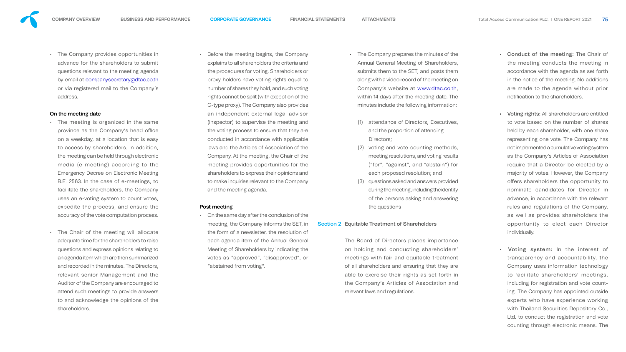• The Company provides opportunities in advance for the shareholders to submit questions relevant to the meeting agenda by email at companysecretary@dtac.co.th or via registered mail to the Company's address.

#### On the meeting date

- The meeting is organized in the same province as the Company's head office on a weekday, at a location that is easy to access by shareholders. In addition, the meeting can be held through electronic media (e-meeting) according to the Emergency Decree on Electronic Meeting B.E. 2563. In the case of e-meetings, to facilitate the shareholders, the Company uses an e-voting system to count votes, expedite the process, and ensure the accuracy of the vote computation process.
- The Chair of the meeting will allocate adequate time for the shareholders to raise questions and express opinions relating to an agenda item which are then summarized and recorded in the minutes. The Directors, relevant senior Management and the Auditor of the Company are encouraged to attend such meetings to provide answers to and acknowledge the opinions of the shareholders.

• Before the meeting begins, the Company explains to all shareholders the criteria and the procedures for voting. Shareholders or proxy holders have voting rights equal to number of shares they hold, and such voting rights cannot be split (with exception of the C-type proxy). The Company also provides an independent external legal advisor (inspector) to supervise the meeting and the voting process to ensure that they are conducted in accordance with applicable laws and the Articles of Association of the Company. At the meeting, the Chair of the meeting provides opportunities for the shareholders to express their opinions and to make inquiries relevant to the Company and the meeting agenda.

#### Post meeting

• On the same day after the conclusion of the meeting, the Company informs the SET, in the form of a newsletter, the resolution of each agenda item of the Annual General Meeting of Shareholders by indicating the votes as "approved", "disapproved", or "abstained from voting". Section 2 Equitable Treatment of Shareholders

- The Company prepares the minutes of the Annual General Meeting of Shareholders, submits them to the SET, and posts them along with a video record of the meeting on Company's website at www.dtac.co.th, within 14 days after the meeting date. The minutes include the following information:
- (1) attendance of Directors, Executives, and the proportion of attending Directors;
- (2) voting and vote counting methods, meeting resolutions, and voting results ("for", "against", and "abstain") for each proposed resolution; and
- (3) questions asked and answers provided during the meeting, including the identity of the persons asking and answering the questions

The Board of Directors places importance on holding and conducting shareholders' meetings with fair and equitable treatment of all shareholders and ensuring that they are able to exercise their rights as set forth in the Company's Articles of Association and relevant laws and regulations.

- Conduct of the meeting: The Chair of the meeting conducts the meeting in accordance with the agenda as set forth in the notice of the meeting. No additions are made to the agenda without prior notification to the shareholders.
- Voting rights: All shareholders are entitled to vote based on the number of shares held by each shareholder, with one share representing one vote. The Company has not implemented a cumulative voting system as the Company's Articles of Association require that a Director be elected by a majority of votes. However, the Company offers shareholders the opportunity to nominate candidates for Director in advance, in accordance with the relevant rules and regulations of the Company, as well as provides shareholders the opportunity to elect each Director individually.
- Voting system: In the interest of transparency and accountability, the Company uses information technology to facilitate shareholders' meetings, including for registration and vote counting. The Company has appointed outside experts who have experience working with Thailand Securities Depository Co., Ltd. to conduct the registration and vote counting through electronic means. The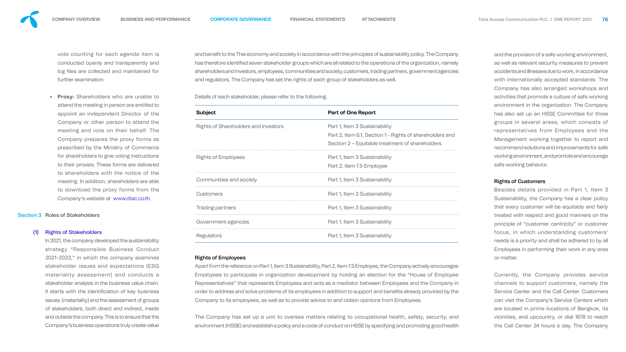

vote counting for each agenda item is conducted openly and transparently and log files are collected and maintained for further examination.

**Proxy:** Shareholders who are unable to attend the meeting in person are entitled to appoint an independent Director of the Company or other person to attend the meeting and vote on their behalf. The Company prepares the proxy forms as prescribed by the Ministry of Commerce for shareholders to give voting instructions to their proxies. These forms are delivered to shareholders with the notice of the meeting. In addition, shareholders are able to download the proxy forms from the Company's website at www.dtac.co.th.

#### Section 3 Roles of Stakeholders

#### **Rights of Stakeholders**

and benefit to the Thai economy and society in accordance with the principles of sustainability policy. The Company has therefore identified seven stakeholder groups which are all related to the operations of the organization, namely shareholders and investors, employees, communities and society, customers, trading partners, government agencies and regulators. The Company has set the rights of each group of stakeholders as well.

In 2021, the company developed the sustainability strategy "Responsible Business Conduct 2021-2023," in which the company examines stakeholder issues and expectations (ESG materiality assessment) and conducts a stakeholder analysis in the business value chain. It starts with the identification of key business issues. (materiality) and the assessment of groups of stakeholders, both direct and indirect, inside and outside the company. This is to ensure that the Company's business operations truly create value Details of each stakeholder, please refer to the following.

#### **Subject**

Rights of Shareholders and investors

Rights of Employees Communities and society

**Customers** 

Trading partners

Government agencies

**Regulators** 

| <b>Part of One Report</b>                                                                                                                    |
|----------------------------------------------------------------------------------------------------------------------------------------------|
| Part 1, Item 3 Sustainability<br>Part 2, Item 6.1, Section 1 - Rights of shareholders and<br>Section 2 – Equitable treatment of shareholders |
| Part 1, Item 3 Sustainability<br>Part 2, Item 7.5 Employee                                                                                   |
| Part 1, Item 3 Sustainability                                                                                                                |
| Part 1, Item 3 Sustainability                                                                                                                |
| Part 1, Item 3 Sustainability                                                                                                                |
| Part 1, Item 3 Sustainability                                                                                                                |
| Part 1, Item 3 Sustainability                                                                                                                |

#### Rights of Employees

Apart from the reference on Part 1, Item 3 Sustainability, Part 2, Item 7.5 Employee, the Company actively encourages Employees to participate in organization development by holding an election for the "House of Employee Representatives" that represents Employees and acts as a mediator between Employees and the Company in order to address and solve problems of its employees in addition to support and benefits already provided by the Company to its employees, as well as to provide advice to and obtain opinions from Employees.

The Company has set up a unit to oversee matters relating to occupational health, safety, security, and environment (HSSE) and establish a policy and a code of conduct on HSSE by specifying and promoting good health

and the provision of a safe working environment, as well as relevant security measures to prevent accidents and illnesses due to work, in accordance with internationally accepted standards. The Company has also arranged workshops and activities that promote a culture of safe working environment in the organization. The Company has also set up an HSSE Committee for three groups in several areas, which consists of representatives from Employees and the Management working together to report and recommend solutions and improvements for safe working environment, and promote and encourage safe working behavior.

### Rights of Customers

Besides details provided in Part 1, Item 3 Sustainability, the Company has a clear policy that every customer will be equitably and fairly treated with respect and good manners on the principle of "customer centricity" or customer focus, in which understanding customers' needs is a priority and shall be adhered to by all Employees in performing their work in any area or matter.

Currently, the Company provides service channels to support customers, namely the Service Center and the Call Center. Customers can visit the Company's Service Centers which are located in prime locations of Bangkok, its vicinities, and upcountry, or dial 1678 to reach the Call Center 24 hours a day. The Company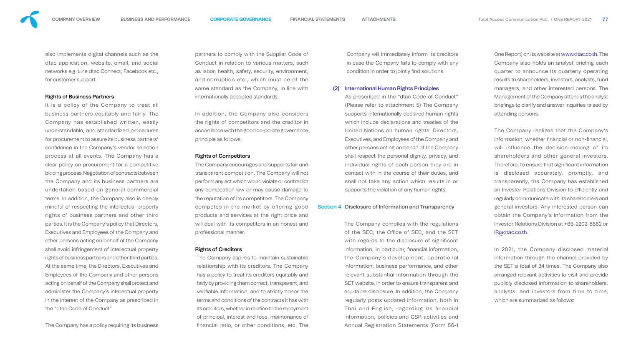also implements digital channels such as the dtac application, website, email, and social networks e.g. Line dtac Connect, Facebook etc., for customer support.

#### Rights of Business Partners

It is a policy of the Company to treat all business partners equitably and fairly. The Company has established written, easily understandable, and standardized procedures for procurement to assure its business partners' confidence in the Company's vendor selection process at all events. The Company has a clear policy on procurement for a competitive bidding process. Negotiation of contracts between the Company and its business partners are undertaken based on general commercial terms. In addition, the Company also is deeply mindful of respecting the intellectual property rights of business partners and other third parties. It is the Company's policy that Directors, Executives and Employees of the Company and other persons acting on behalf of the Company shall avoid infringement of intellectual property rights of business partners and other third parties. At the same time, the Directors, Executives and Employees of the Company and other persons acting on behalf of the Company shall protect and administer the Company's intellectual property in the interest of the Company as prescribed in the "dtac Code of Conduct".

Company will immediately inform its creditors in case the Company fails to comply with any condition in order to jointly find solutions.

The Company has a policy requiring its business

partners to comply with the Supplier Code of Conduct in relation to various matters, such as labor, health, safety, security, environment, and corruption etc., which must be of the same standard as the Company, in line with internationally accepted standards.

In addition, the Company also considers the rights of competitors and the creditor in accordance with the good corporate governance principle as follows:

#### Rights of Competitors

The Company encourages and supports fair and transparent competition. The Company will not perform any act which would violate or contradict any competition law or may cause damage to the reputation of its competitors. The Company competes in the market by offering good products and services at the right price and will deal with its competitors in an honest and professional manner.

#### Rights of Creditors

The Company aspires to maintain sustainable relationship with its creditors. The Company has a policy to treat its creditors equitably and fairly by providing them correct, transparent, and verifiable information, and to strictly honor the terms and conditions of the contracts it has with its creditors, whether in relation to the repayment of principal, interest and fees, maintenance of nancial ratio, or other conditions, etc. The



#### (2) International Human Rights Principles

As prescribed in the "dtac Code of Conduct" (Please refer to attachment 5) The Company supports internationally declared human rights which include declarations and treaties of the United Nations on human rights. Directors, Executives, and Employees of the Company and other persons acting on behalf of the Company shall respect the personal dignity, privacy, and individual rights of each person they are in contact with in the course of their duties, and shall not take any action which results in or supports the violation of any human rights.

#### Section 4 Disclosure of Information and Transparency

The Company complies with the regulations of the SEC, the Office of SEC, and the SET with regards to the disclosure of significant information, in particular, financial information, the Company's development, operational information, business performance, and other relevant substantial information through the SET website, in order to ensure transparent and equitable disclosure. In addition, the Company regularly posts updated information, both in Thai and English, regarding its financial information, policies and CSR activities and Annual Registration Statements (Form 56-1 One Report) on its website at www.dtac.co.th. The Company also holds an analyst briefing each quarter to announce its quarterly operating results to shareholders, investors, analysts, fund managers, and other interested persons. The Management of the Company attends the analyst briefings to clarify and answer inquiries raised by attending persons.

The Company realizes that the Company's information, whether financial or non-financial, will influence the decision-making of its shareholders and other general investors. Therefore, to ensure that significant information is disclosed accurately, promptly, and transparently, the Company has established an Investor Relations Division to efficiently and regularly communicate with its shareholders and general investors. Any interested person can obtain the Company's information from the Investor Relations Division at +66-2202-8882 or IR@dtac.co.th.

In 2021, the Company disclosed material information through the channel provided by the SET a total of 34 times. The Company also arranged relevant activities to visit and provide publicly disclosed information to shareholders, analysts, and investors from time to time, which are summarized as follows:

**COMPANY OVERVIEW BUSINESS AND PERFORMANCE [CORPORATE GOVERNANCE](#page-0-0) FINANCIAL STATEMENTS ATTACHMENTS** Total Access Communication PLC. I ONE REPORT 2021 **77**

- 
- 
-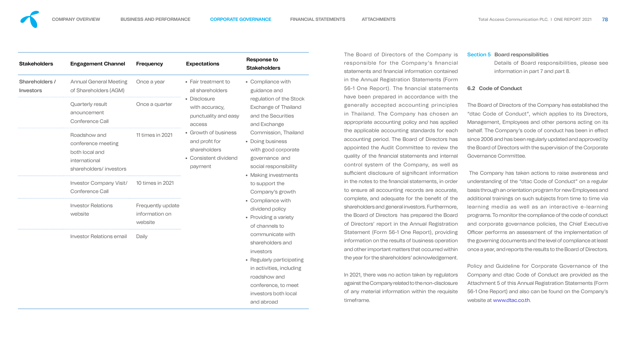**•** Regularly participating ling

| <b>Stakeholders</b>                | <b>Engagement Channel</b>                                                                       | <b>Frequency</b>                                      | <b>Expectations</b>                                                                        | <b>Response to</b><br><b>Stakeholders</b>                                                                                                                                                     |
|------------------------------------|-------------------------------------------------------------------------------------------------|-------------------------------------------------------|--------------------------------------------------------------------------------------------|-----------------------------------------------------------------------------------------------------------------------------------------------------------------------------------------------|
| Shareholders /<br><b>Investors</b> | <b>Annual General Meeting</b><br>of Shareholders (AGM)                                          | Once a year                                           | • Fair treatment to<br>all shareholders                                                    | • Compliance with<br>guidance and                                                                                                                                                             |
|                                    | <b>Quarterly result</b><br>anouncement<br><b>Conference Call</b>                                | Once a quarter                                        | • Disclosure<br>with accuracy,<br>punctuality and easy<br>access                           | regulation of the Stor<br><b>Exchange of Thailand</b><br>and the Securities<br>and Exchange                                                                                                   |
|                                    | Roadshow and<br>conference meeting<br>both local and<br>international<br>shareholders/investors | 11 times in 2021                                      | • Growth of business<br>and profit for<br>shareholders<br>• Consistent dividend<br>payment | Commission, Thailan<br>• Doing business<br>with good corporate<br>governance and<br>social responsibility                                                                                     |
|                                    | <b>Investor Company Visit/</b><br><b>Conference Call</b>                                        | 10 times in 2021                                      |                                                                                            | • Making investments<br>to support the<br>Company's growth                                                                                                                                    |
|                                    | <b>Investor Relations</b><br>website                                                            | <b>Frequently update</b><br>information on<br>website |                                                                                            | • Compliance with<br>dividend policy<br>• Providing a variety<br>of channels to                                                                                                               |
|                                    | <b>Investor Relations email</b>                                                                 | Daily                                                 |                                                                                            | communicate with<br>shareholders and<br><i>investors</i><br>• Regularly participatin<br>in activities, including<br>roadshow and<br>conference, to meet<br>investors both local<br>and abroad |



The Board of Directors of the Company is responsible for the Company's financial statements and financial information contained in the Annual Registration Statements (Form 56-1 One Report). The financial statements have been prepared in accordance with the generally accepted accounting principles in Thailand. The Company has chosen an appropriate accounting policy and has applied the applicable accounting standards for each accounting period. The Board of Directors has appointed the Audit Committee to review the quality of the financial statements and internal control system of the Company, as well as sufficient disclosure of significant information in the notes to the financial statements, in order to ensure all accounting records are accurate, complete, and adequate for the benefit of the shareholders and general investors. Furthermore, the Board of Directors has prepared the Board of Directors' report in the Annual Registration Statement (Form 56-1 One Report), providing information on the results of business operation and other important matters that occurred within the year for the shareholders' acknowledgement.

In 2021, there was no action taken by regulators against the Company related to the non-disclosure of any material information within the requisite timeframe.

# Section 5 Board responsibilities Details of Board responsibilities, please see

information in part 7 and part 8.

#### **6.2 Code of Conduct**

The Board of Directors of the Company has established the "dtac Code of Conduct", which applies to its Directors, Management, Employees and other persons acting on its behalf. The Company's code of conduct has been in effect since 2006 and has been regularly updated and approved by the Board of Directors with the supervision of the Corporate Governance Committee.

 The Company has taken actions to raise awareness and understanding of the "dtac Code of Conduct" on a regular basis through an orientation program for new Employees and additional trainings on such subjects from time to time via learning media as well as an interactive e-learning programs. To monitor the compliance of the code of conduct and corporate governance policies, the Chief Executive Officer performs an assessment of the implementation of the governing documents and the level of compliance at least once a year, and reports the results to the Board of Directors.

Policy and Guideline for Corporate Governance of the Company and dtac Code of Conduct are provided as the Attachment 5 of this Annual Registration Statements (Form 56-1 One Report) and also can be found on the Company's website at www.dtac.co.th.

tock and

land

ate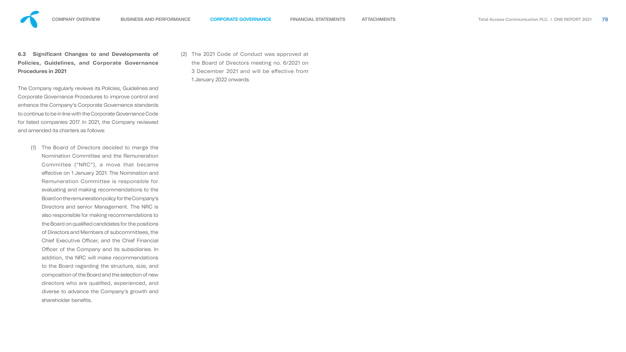# **6.3 Significant Changes to and Developments of Policies, Guidelines, and Corporate Governance Procedures in 2021**

(1) The Board of Directors decided to merge the Nomination Committee and the Remuneration Committee ("NRC"), a move that became effective on 1 January 2021. The Nomination and Remuneration Committee is responsible for evaluating and making recommendations to the Board on the remuneration policy for the Company's Directors and senior Management. The NRC is also responsible for making recommendations to the Board on qualified candidates for the positions of Directors and Members of subcommittees, the Chief Executive Officer, and the Chief Financial Officer of the Company and its subsidiaries. In addition, the NRC will make recommendations to the Board regarding the structure, size, and composition of the Board and the selection of new directors who are qualified, experienced, and diverse to advance the Company's growth and shareholder benefits.

The Company regularly reviews its Policies, Guidelines and Corporate Governance Procedures to improve control and enhance the Company's Corporate Governance standards to continue to be in line with the Corporate Governance Code for listed companies 2017. In 2021, the Company reviewed and amended its charters as follows:

(2) The 2021 Code of Conduct was approved at the Board of Directors meeting no. 6/2021 on 3 December 2021 and will be effective from 1 January 2022 onwards.

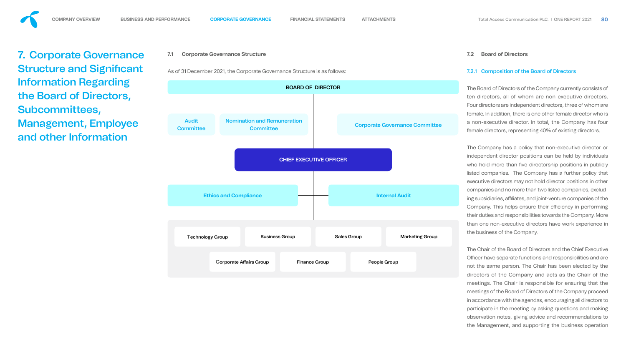**7.1 Corporate Governance Structure**



<span id="page-7-0"></span>**7.** Corporate Governance **Structure and Significant** Information Regarding the Board of Directors, Subcommittees, Management, Employee and other Information

#### **7.2 Board of Directors**

#### 7.2.1 Composition of the Board of Directors

The Board of Directors of the Company currently consists of ten directors, all of whom are non-executive directors. Four directors are independent directors, three of whom are female. In addition, there is one other female director who is a non-executive director. In total, the Company has four female directors, representing 40% of existing directors.

The Company has a policy that non-executive director or independent director positions can be held by individuals who hold more than five directorship positions in publicly listed companies. The Company has a further policy that executive directors may not hold director positions in other companies and no more than two listed companies, excluding subsidiaries, affiliates, and joint-venture companies of the Company. This helps ensure their efficiency in performing their duties and responsibilities towards the Company. More than one non-executive directors have work experience in the business of the Company.

The Chair of the Board of Directors and the Chief Executive Officer have separate functions and responsibilities and are not the same person. The Chair has been elected by the directors of the Company and acts as the Chair of the meetings. The Chair is responsible for ensuring that the meetings of the Board of Directors of the Company proceed in accordance with the agendas, encouraging all directors to participate in the meeting by asking questions and making observation notes, giving advice and recommendations to the Management, and supporting the business operation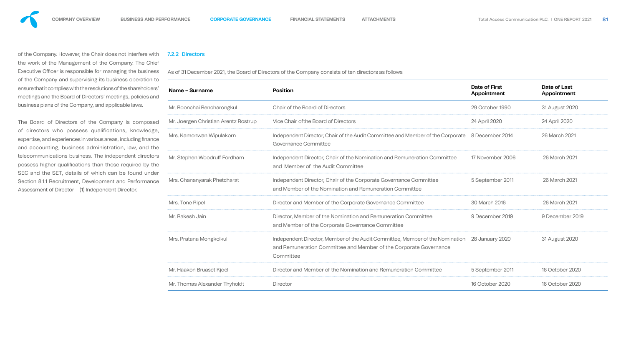of the Company. However, the Chair does not interfere with the work of the Management of the Company. The Chief Executive Officer is responsible for managing the business of the Company and supervising its business operation to ensure that it complies with the resolutions of the shareholders' meetings and the Board of Directors' meetings, policies and business plans of the Company, and applicable laws.

The Board of Directors of the Company is composed of directors who possess qualifications, knowledge, expertise, and experiences in various areas, including finance and accounting, business administration, law, and the telecommunications business. The independent directors possess higher qualifications than those required by the SEC and the SET, details of which can be found under Section 8.1.1 Recruitment, Development and Performance Assessment of Director – (1) Independent Director.

#### 7.2.2 Directors

As of 31 December 2021, the Board of Directors of the Company consists of ten directors as follows

| <b>Position</b>                                                                                                                                                 | <b>Date of First</b><br>Appointment | Date of Last<br>Appointment                                                    |
|-----------------------------------------------------------------------------------------------------------------------------------------------------------------|-------------------------------------|--------------------------------------------------------------------------------|
| <b>Chair of the Board of Directors</b>                                                                                                                          | 29 October 1990                     | 31 August 2020                                                                 |
| Vice Chair of the Board of Directors                                                                                                                            | 24 April 2020                       | 24 April 2020                                                                  |
| Governance Committee                                                                                                                                            | 8 December 2014                     | 26 March 2021                                                                  |
| Independent Director, Chair of the Nomination and Remuneration Committee<br>and Member of the Audit Committee                                                   | 17 November 2006                    | 26 March 2021                                                                  |
| Independent Director, Chair of the Corporate Governance Committee<br>and Member of the Nomination and Remuneration Committee                                    | 5 September 2011                    | 26 March 2021                                                                  |
| Director and Member of the Corporate Governance Committee                                                                                                       | 30 March 2016                       | 26 March 2021                                                                  |
| Director, Member of the Nomination and Remuneration Committee<br>and Member of the Corporate Governance Committee                                               | 9 December 2019                     | 9 December 2019                                                                |
| Independent Director, Member of the Audit Committee, Member of the Nomination<br>and Remuneration Committee and Member of the Corporate Governance<br>Committee | 28 January 2020                     | 31 August 2020                                                                 |
| Director and Member of the Nomination and Remuneration Committee                                                                                                | 5 September 2011                    | 16 October 2020                                                                |
| <b>Director</b>                                                                                                                                                 | 16 October 2020                     | 16 October 2020                                                                |
|                                                                                                                                                                 |                                     | Independent Director, Chair of the Audit Committee and Member of the Corporate |



| . .<br><br>. .             |
|----------------------------|
|                            |
|                            |
|                            |
|                            |
| ×<br>۰,<br>. .<br>۰.<br>., |

| . |
|---|
|   |
|   |
|   |
|   |
|   |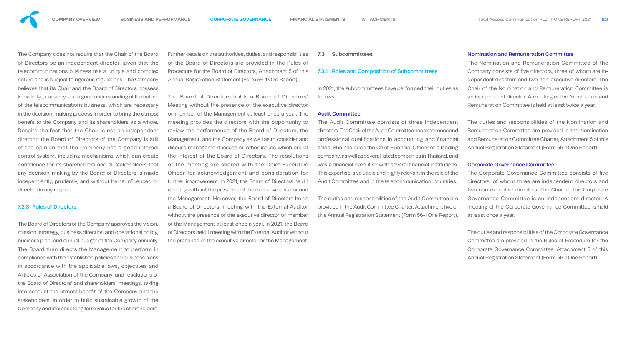The Company does not require that the Chair of the Board of Directors be an independent director, given that the telecommunications business has a unique and complex nature and is subject to rigorous regulations. The Company believes that its Chair and the Board of Directors possess knowledge, capacity, and a good understanding of the nature of the telecommunications business, which are necessary in the decision-making process in order to bring the utmost benefit to the Company and its shareholders as a whole. Despite the fact that the Chair is not an independent director, the Board of Directors of the Company is still of the opinion that the Company has a good internal control system, including mechanisms which can create confidence for its shareholders and all stakeholders that any decision-making by the Board of Directors is made independently, prudently, and without being influenced or directed in any respect.

#### 7.2.3 Roles of Directors

The Board of Directors of the Company approves the vision, mission, strategy, business direction and operational policy, business plan, and annual budget of the Company annually. The Board then directs the Management to perform in compliance with the established policies and business plans in accordance with the applicable laws, objectives and Articles of Association of the Company, and resolutions of the Board of Directors' and shareholders' meetings, taking into account the utmost benefit of the Company and the stakeholders, in order to build sustainable growth of the Company and increase long term value for the shareholders.

Further details on the authorities, duties, and responsibilities of the Board of Directors are provided in the Rules of Procedure for the Board of Directors, Attachment 5 of this Annual Registration Statement (Form 56-1 One Report).

> The Corporate Governance Committee consists of five directors, of whom three are independent directors and two non-executive directors. The Chair of the Corporate Governance Committee is an independent director. A meeting of the Corporate Governance Committee is held at least once a year.

The Board of Directors holds a Board of Directors' Meeting without the presence of the executive director or member of the Management at least once a year. The meeting provides the directors with the opportunity to review the performance of the Board of Directors, the Management, and the Company as well as to consider and discuss management issues or other issues which are of the interest of the Board of Directors. The resolutions of the meeting are shared with the Chief Executive Officer for acknowledgement and consideration for further improvement. In 2021, the Board of Directors held 1 meeting without the presence of the executive director and the Management. Moreover, the Board of Directors holds a Board of Directors' meeting with the External Auditor without the presence of the executive director or member of the Management at least once a year. In 2021, the Board of Directors held 1 meeting with the External Auditor without the presence of the executive director or the Management.

#### **7.3 Subcommittees**

# 7.3.1 Roles and Composition of Subcommittees

In 2021, the subcommittees have performed their duties as follows:

#### Audit Committee

The Audit Committee consists of three independent directors. The Chair of the Audit Committee has experience and professional qualifications in accounting and financial fields. She has been the Chief Financial Officer of a leading company, as well as several listed companies in Thailand, and was a financial executive with several financial institutions. This expertise is valuable and highly relevant in the role of the Audit Committee and in the telecommunication industries.

The duties and responsibilities of the Audit Committee are provided in the Audit Committee Charter, Attachment five of this Annual Registration Statement (Form 56-1 One Report).

#### Nomination and Remuneration Committee

The Nomination and Remuneration Committee of the Company consists of five directors, three of whom are independent directors and two non-executive directors. The Chair of the Nomination and Remuneration Committee is an independent director. A meeting of the Nomination and Remuneration Committee is held at least twice a year.

The duties and responsibilities of the Nomination and Remuneration Committee are provided in the Nomination and Remuneration Committee Charter, Attachment 5 of this Annual Registration Statement (Form 56-1 One Report).

#### Corporate Governance Committee

The duties and responsibilities of the Corporate Governance Committee are provided in the Rules of Procedure for the Corporate Governance Committee, Attachment 5 of this Annual Registration Statement (Form 56-1 One Report).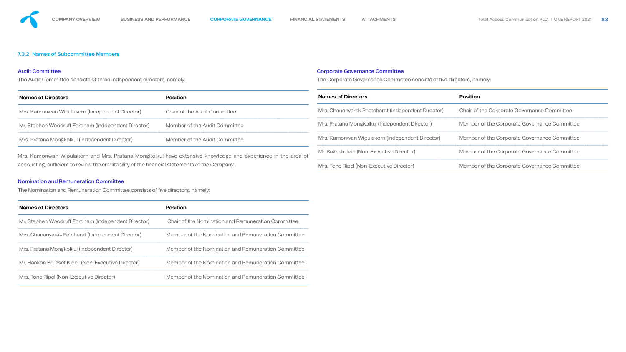### 7.3.2 Names of Subcommittee Members

#### Audit Committee

The Audit Committee consists of three independent directors, namely:

### Nomination and Remuneration Committee

The Nomination and Remuneration Committee consists of five directors, namely:

| <b>Names of Directors</b>                           | Position                                            |
|-----------------------------------------------------|-----------------------------------------------------|
| Mr. Stephen Woodruff Fordham (Independent Director) | Chair of the Nomination and Remuneration Committee  |
| Mrs. Chananyarak Petcharat (Independent Director)   | Member of the Nomination and Remuneration Committee |
| Mrs. Pratana Mongkolkul (Independent Director)      | Member of the Nomination and Remuneration Committee |
| Mr. Haakon Bruaset Kjoel (Non-Executive Director)   | Member of the Nomination and Remuneration Committee |
| Mrs. Tone Ripel (Non-Executive Director)            | Member of the Nomination and Remuneration Committee |

| <b>Names of Directors</b>                                                                      | <b>Position</b>                                                                                             | <b>Names of Directors</b>                          | <b>Position</b>                              |  |  |
|------------------------------------------------------------------------------------------------|-------------------------------------------------------------------------------------------------------------|----------------------------------------------------|----------------------------------------------|--|--|
| Mrs. Kamonwan Wipulakorn (Independent Director)                                                | <b>Chair of the Audit Committee</b>                                                                         | Mrs. Chananyarak Phetcharat (Independent Director) | Chair of the Corporate Governance Committee  |  |  |
| Mr. Stephen Woodruff Fordham (Independent Director)                                            | Member of the Audit Committee                                                                               | Mrs. Pratana Mongkolkul (Independent Director)     | Member of the Corporate Governance Committee |  |  |
| Mrs. Pratana Mongkolkul (Independent Director)                                                 | Member of the Audit Committee                                                                               | Mrs. Kamonwan Wipulakorn (Independent Director)    | Member of the Corporate Governance Committee |  |  |
|                                                                                                | Mrs. Kamonwan Wipulakorn and Mrs. Pratana Mongkolkul have extensive knowledge and experience in the area of | Mr. Rakesh Jain (Non-Executive Director)           | Member of the Corporate Governance Committee |  |  |
| accounting, sufficient to review the creditability of the financial statements of the Company. |                                                                                                             | Mrs. Tone Ripel (Non-Executive Director)           | Member of the Corporate Governance Committee |  |  |

# Corporate Governance Committee

The Corporate Governance Committee consists of five directors, namely:

| . .      | v   |
|----------|-----|
| .<br>. . | - 3 |
| ł        |     |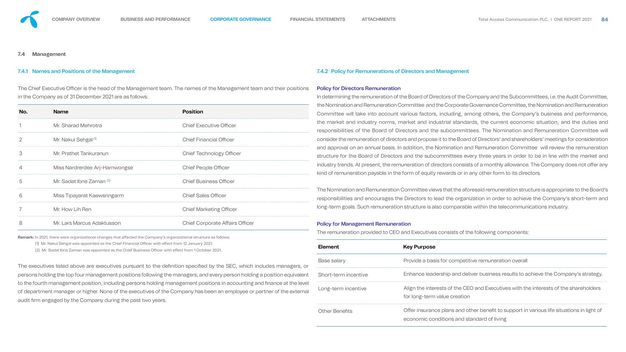

#### **7.4 Management**

#### 7.4.1 Names and Positions of the Management

The Chief Executive Officer is the head of the Management team. The names of the Management team and their positions in the Company as of 31 December 2021 are as follows:

| No.            | <b>Name</b>                         | <b>Position</b>                        |
|----------------|-------------------------------------|----------------------------------------|
|                | Mr. Sharad Mehrotra                 | <b>Chief Executive Officer</b>         |
| $\overline{2}$ | Mr. Nakul Sehgal <sup>(1)</sup>     | <b>Chief Financial Officer</b>         |
| 3              | Mr. Prathet Tankuranun              | <b>Chief Technology Officer</b>        |
|                | Miss Nardrerdee Arj-Harnwongse      | <b>Chief People Officer</b>            |
| 5              | Mr. Sadat Ibne Zaman <sup>(2)</sup> | <b>Chief Business Officer</b>          |
| 6              | Miss Tipayarat Kaewsringarm         | <b>Chief Sales Officer</b>             |
|                | Mr. How Lih Ren                     | <b>Chief Marketing Officer</b>         |
| 8              | Mr. Lars Marcus Adaktusson          | <b>Chief Corporate Affairs Officer</b> |

**Remark:** In 2021, there were organizational changes that affected the Company's organizational structure as follows:

(1) Mr. Nakul Sehgal was appointed as the Chief Financial Officer with effect from 12 January 2021.

(2) Mr. Sadat Ibne Zaman was appointed as the Chief Business Officer with effect from 1 October 2021.

The executives listed above are executives pursuant to the definition specified by the SEC, which includes manager persons holding the top four management positions following the managers, and every person holding a position equiv to the fourth management position, including persons holding management positions in accounting and finance at the of department manager or higher. None of the executives of the Company has been an employee or partner of the ext audit firm engaged by the Company during the past two years.

#### 7.4.2 Policy for Remunerations of Directors and Management

#### Policy for Directors Remuneration

In determining the remuneration of the Board of Directors of the Company and the Subcommittees, i.e. the Audit Committee, the Nomination and Remuneration Committee and the Corporate Governance Committee, the Nomination and Remuneration Committee will take into account various factors, including, among others, the Company's business and performance, the market and industry norms, market and industrial standards, the current economic situation, and the duties and responsibilities of the Board of Directors and the subcommittees. The Nomination and Remuneration Committee will consider the remuneration of directors and propose it to the Board of Directors' and shareholders' meetings for consideration and approval on an annual basis. In addition, the Nomination and Remuneration Committee will review the remuneration structure for the Board of Directors and the subcommittees every three years in order to be in line with the market and industry trends. At present, the remuneration of directors consists of a monthly allowance. The Company does not offer any kind of remuneration payable in the form of equity rewards or in any other form to its directors.

The Nomination and Remuneration Committee views that the aforesaid remuneration structure is appropriate to the Board's responsibilities and encourages the Directors to lead the organization in order to achieve the Company's short-term and long-term goals. Such remuneration structure is also comparable within the telecommunications industry.

#### Policy for Management Remuneration

The remuneration provided to CEO and Executives consists of the following components:

|                                               | <b>Element</b>        | <b>Key Purpose</b>                                                                                                                      |
|-----------------------------------------------|-----------------------|-----------------------------------------------------------------------------------------------------------------------------------------|
| rs, or<br><i>r</i> alent<br>e level<br>ternal | Base salary           | Provide a basis for competitive remuneration overall                                                                                    |
|                                               | Short-term incentive  | Enhance leadership and deliver business results to achieve the Company's strategy.                                                      |
|                                               | Long-term incentive   | Align the interests of the CEO and Executives with the interests of the shareholders<br>for long-term value creation                    |
|                                               | <b>Other Benefits</b> | Offer insurance plans and other benefit to support in various life situations in light of<br>economic conditions and standard of living |

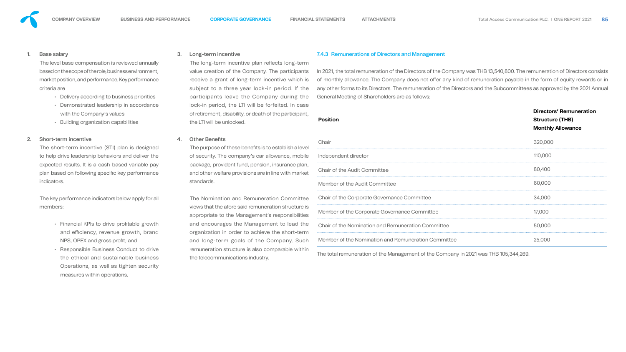

#### 1. Base salary

The level base compensation is reviewed annually based on the scope of the role, business environment, market position, and performance. Key performance criteria are

- Delivery according to business priorities
- Demonstrated leadership in accordance with the Company's values
- Building organization capabilities

#### 2. Short-term incentive

- Financial KPIs to drive profitable growth and efficiency, revenue growth, brand NPS, OPEX and gross profit; and
- Responsible Business Conduct to drive the ethical and sustainable business Operations, as well as tighten security measures within operations.

The short-term incentive (STI) plan is designed to help drive leadership behaviors and deliver the expected results. It is a cash-based variable pay plan based on following specific key performance indicators.

The key performance indicators below apply for all members:

The long-term incentive plan reflects long-term value creation of the Company. The participants receive a grant of long-term incentive which is subject to a three year lock-in period. If the participants leave the Company during the lock-in period, the LTI will be forfeited. In case of retirement, disability, or death of the participal the LTI will be unlocked.

#### 4. Other Benefits

The purpose of these benefits is to establish a level of security. The company's car allowance, mobile package, provident fund, pension, insurance pla and other welfare provisions are in line with mark standards.

#### 3. Long-term incentive

The Nomination and Remuneration Committe views that the afore said remuneration structure appropriate to the Management's responsibilities and encourages the Management to lead the organization in order to achieve the short-ter and long-term goals of the Company. Sud remuneration structure is also comparable within the telecommunications industry.

#### 7.4.3 Remunerations of Directors and Management

In 2021, the total remuneration of the Directors of the Company was THB 13,540,800. The remuneration of Directors consists of monthly allowance. The Company does not offer any kind of remuneration payable in the form of equity rewards or in any other forms to its Directors. The remuneration of the Directors and the Subcommittees as approved by the 2021 Annual General Meeting of Shareholders are as follows:

| <b>Position</b>                                           | <b>Directors' Remunera</b><br><b>Structure (THB)</b><br><b>Monthly Allowance</b> |
|-----------------------------------------------------------|----------------------------------------------------------------------------------|
| Chair                                                     | 320,000                                                                          |
| Independent director                                      | 110,000                                                                          |
| <b>Chair of the Audit Committee</b>                       | 80,400                                                                           |
| Member of the Audit Committee                             | 60,000                                                                           |
| <b>Chair of the Corporate Governance Committee</b>        | 34,000                                                                           |
| Member of the Corporate Governance Committee              | 17,000                                                                           |
| <b>Chair of the Nomination and Remuneration Committee</b> | 50,000                                                                           |
| Member of the Nomination and Remuneration Committee       | 25,000                                                                           |
|                                                           |                                                                                  |

The total remuneration of the Management of the Company in 2021 was THB 105,344,269.



#### ation **.**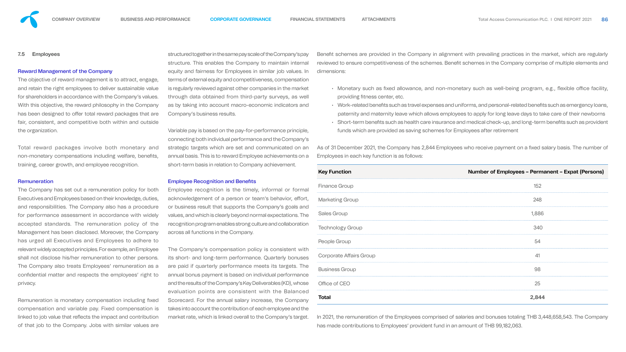#### **7.5 Employees**

#### Reward Management of the Company

The objective of reward management is to attract, engage, and retain the right employees to deliver sustainable value for shareholders in accordance with the Company's values. With this objective, the reward philosophy in the Company has been designed to offer total reward packages that are fair, consistent, and competitive both within and outside the organization.

Total reward packages involve both monetary and non-monetary compensations including welfare, benefits, training, career growth, and employee recognition.

#### **Remuneration**

Remuneration is monetary compensation including fixed compensation and variable pay. Fixed compensation is linked to job value that reflects the impact and contribution of that job to the Company. Jobs with similar values are

The Company has set out a remuneration policy for both Executives and Employees based on their knowledge, duties, and responsibilities. The Company also has a procedure for performance assessment in accordance with widely accepted standards. The remuneration policy of the Management has been disclosed. Moreover, the Company has urged all Executives and Employees to adhere to relevant widely accepted principles. For example, an Employee shall not disclose his/her remuneration to other persons. The Company also treats Employees' remuneration as a confidential matter and respects the employees' right to privacy.

Variable pay is based on the pay-for-performance prin connecting both individual performance and the Company's connecting both individual performance and the Compa strategic targets which are set and communicated annual basis. This is to reward Employee achievement short-term basis in relation to Company achievement.

#### **Employee Recognition and Benefits**

Employee recognition is the timely, informal or formal acknowledgement of a person or team's behavior, or business result that supports the Company's goal values, and which is clearly beyond normal expectation recognition program enables strong culture and collabo across all functions in the Company.

The Company's compensation policy is consistent its short- and long-term performance. Quarterly bor are paid if quarterly performance meets its targets. The annual bonus payment is based on individual performance and the results of the Company's Key Deliverables (KD), whose evaluation points are consistent with the Balanced Scorecard. For the annual salary increase, the Company takes into account the contribution of each employee and the market rate, which is linked overall to the Company's target.

structured together in the same pay scale of the Company's pay structure. This enables the Company to maintain in equity and fairness for Employees in similar job values. terms of external equity and competitiveness, compensitions is regularly reviewed against other companies in the market through data obtained from third-party surveys, as as by taking into account macro-economic indicator Company's business results.

| y'spay                   |                                                                           | Benefit schemes are provided in the Company in alignment with prevailing practices in the market, which are regularly |
|--------------------------|---------------------------------------------------------------------------|-----------------------------------------------------------------------------------------------------------------------|
| iternal                  |                                                                           | reviewed to ensure competitiveness of the schemes. Benefit schemes in the Company comprise of multiple elements and   |
| ues. In                  | dimensions:                                                               |                                                                                                                       |
| sation                   |                                                                           |                                                                                                                       |
| narket                   |                                                                           | • Monetary such as fixed allowance, and non-monetary such as well-being program, e.g., flexible office facility,      |
| <b>is well</b>           | providing fitness center, etc.                                            |                                                                                                                       |
| rs and                   |                                                                           | • Work-related benefits such as travel expenses and uniforms, and personal-related benefits such as emergency loans,  |
|                          |                                                                           | paternity and maternity leave which allows employees to apply for long leave days to take care of their newborns      |
|                          |                                                                           | • Short-term benefits such as health care insurance and medical check-up, and long-term benefits such as provident    |
| nciple,                  | funds which are provided as saving schemes for Employees after retirement |                                                                                                                       |
| oany's<br>on an          |                                                                           | As of 31 December 2021, the Company has 2,844 Employees who receive payment on a fixed salary basis. The number of    |
| sona                     | Employees in each key function is as follows:                             |                                                                                                                       |
|                          |                                                                           |                                                                                                                       |
|                          | <b>Key Function</b>                                                       | Number of Employees – Permanent – Expat (Persons)                                                                     |
| ormal                    | <b>Finance Group</b>                                                      | 152                                                                                                                   |
| effort,                  | <b>Marketing Group</b>                                                    | 248                                                                                                                   |
| Is and<br><b>is. The</b> | <b>Sales Group</b>                                                        | 1,886                                                                                                                 |
| <i>ration</i>            | <b>Technology Group</b>                                                   | 340                                                                                                                   |
|                          | People Group                                                              | 54                                                                                                                    |
| t with<br>nuses          | <b>Corporate Affairs Group</b>                                            | 41                                                                                                                    |
|                          |                                                                           |                                                                                                                       |

Business Group 88 and the set of the set of the set of the set of the set of the set of the set of the set of the set of the set of the set of the set of the set of the set of the set of the set of the set of the set of th

Office of CEO 25

**Total 2,844**

In 2021, the remuneration of the Employees comprised of salaries and bonuses totaling THB 3,448,658,543. The Company has made contributions to Employees' provident fund in an amount of THB 99,182,063.



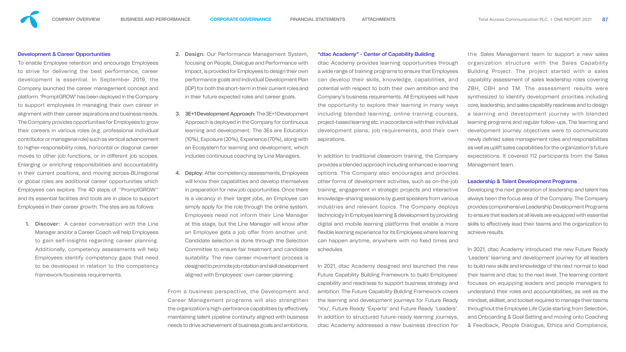

To enable Employee retention and encourage Employees to strive for delivering the best performance, career development is essential. In September 2019, the Company launched the career management concept and platform. 'PromptGROW' has been deployed in the Company to support employees in managing their own career in alignment with their career aspirations and business needs. The Company provides opportunities for Employees to grow their careers in various roles (e.g. professional individual contributor or managerial role) such as vertical advancement to higher-responsibility roles, horizontal or diagonal career moves to other job functions, or in different job scopes. Enlarging or enriching responsibilities and accountability in their current positions, and moving across-BU/regional or global roles are additional career opportunities which Employees can explore. The 4D steps of ''PromptGROW'' and its essential facilities and tools are in place to support Employees in their career growth. The stes are as follows:

1. Discover: A career conversation with the Line Manager and/or a Career Coach will help Employees to gain self-insights regarding career planning. Additionally, competency assessments will help Employees identify competency gaps that need to be developed in relation to the competency framework/business requirements.

- 2. Design: Our Performance Management System, focusing on People, Dialogue and Performance with Impact, is provided for Employees to design their own performance goals and Individual Development Plan (IDP) for both the short-term in their current roles and in their future expected roles and career goals.
- 3. 3E+1 Development Approach: The 3E+1 Development Approach is deployed in the Company for continuous learning and development. The 3Es are Education (10%), Exposure (20%), Experience (70%), along with an Ecosystem for learning and development, which includes continuous coaching by Line Managers.
- 4. Deploy: After competency assessments, Employees will know their capabilities and develop themselves in preparation for new job opportunities. Once there is a vacancy in their target jobs, an Employee can simply apply for the role through the online system. Employees need not inform their Line Manager at this stage, but the Line Manager will know after an Employee gets a job offer from another unit. Candidate selection is done through the Selection Committee to ensure fair treatment and candidate suitability. The new career movement process is

the Sales Management team to support a new sales organization structure with the Sales Capability Building Project. The project started with a sales capability assessment of sales leadership roles covering ZBH, CBH and TM. The assessment results were synthesized to identify development priorities including core, leadership, and sales capability readiness and to design a learning and development journey with blended learning programs and regular follow-ups. The learning and development journey objectives were to communicate newly defined sales management roles and responsibilities as well as uplift sales capabilities for the organization's future expectations. It covered 112 participants from the Sales Management team.

#### "dtac Academy" - Center of Capability Building

dtac Academy provides learning opportunities through a wide range of training programs to ensure that Employees can develop their skills, knowledge, capabilities, and potential with respect to both their own ambition and the Company's business requirements. All Employees will have the opportunity to explore their learning in many ways including blended learning, online training courses, project-based learning etc. in accordance with their individual development plans, job requirements, and their own aspirations.

designed to promote job rotation and skill development aligned with Employees' own career planning. From a business perspective, the Development and Career Management programs will also strengthen the organization's high-perforance capabilities by effectively maintaining talent pipeline continuity aligned with business needs to drive achievement of business goals and ambitions. In 2021, dtac Academy designed and launched the new Future Capability Building Framework to build Employees' capability and readiness to support business strategy and ambition. The Future Capability Building Framework covers the learning and development journeys for Future Ready 'You', Future Ready 'Experts' and Future Ready 'Leaders'. In addition to structured future-ready learning journeys, dtac Academy addressed a new business direction for

In addition to traditional classroom training, the Company provides a blended approach including enhanced e-learning options. The Company also encourages and provides other forms of development activities, such as on-the-job training, engagement in strategic projects and interactive knowledge-sharing sessions by guest speakers from various industries and relevant topics. The Company deploys technology in Employee learning & development by providing digital and mobile learning platforms that enable a more flexible learning experience for its Employees where learning can happen anytime, anywhere with no fixed times and schedules.

#### Leadership & Talent Development Programs

Developing the next generation of leadership and talent has always been the focus area of the Company. The Company provides comprehensive Leadership Development Programs to ensure that leaders at all levels are equipped with essential skills to effectively lead their teams and the organization to achieve results.

In 2021, dtac Academy introduced the new Future Ready 'Leaders' learning and development journey for all leaders to build new skills and knowledge of the next normal to lead their teams and dtac to the next level. The learning content focuses on equipping leaders and people managers to understand their roles and accountabilities, as well as the mindset, skillset, and toolset required to manage their teams throughout the Employee Life Cycle starting from Selection, and Onboarding & Goal Setting and moving onto Coaching & Feedback, People Dialogue, Ethics and Compliance,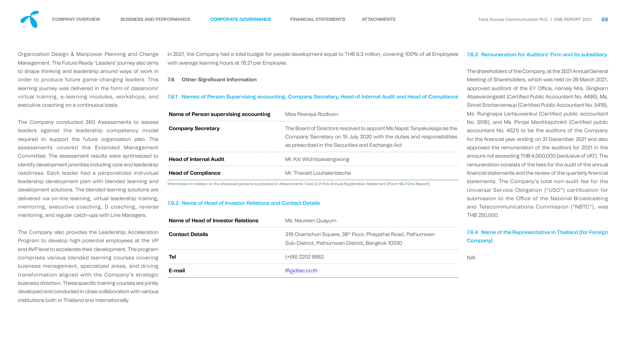

Organization Design & Manpower Planning and Change Management. The Future Ready 'Leaders' journey also aims to shape thinking and leadership around ways of work in order to produce future game-changing leaders. This learning journey was delivered in the form of classroom/ virtual training, e-learning modules, workshops, and executive coaching on a continuous basis.

The Company conducted 360 Assessments to assess leaders against the leadership competency model required to support the future organization plan. The assessments covered the Extended Management Committee. The assessment results were synthesized to identify development priorities including core and leadership readiness. Each leader had a personalized individual leadership development plan with blended learning and development solutions. The blended learning solutions are delivered via on-line learning, virtual leadership training, mentoring, executive coaching, D coaching, reverse mentoring, and regular catch-ups with Line Managers.

**Company Secretary** The Board of Directors resolved to appoint Ms.Napat Tanyakulsajja as the mpany Secretary on 15 July 2020 with the duties and responsibilities prescribed in the Securities and Exchange Act

### Kiti Wichitsawangwong

**Thanatt Louhalertdecha** 

#### **Naureen Quayum**

**Chamchuri Square, 38<sup>th</sup> Floor, Phayathai Road, Pathumwan** d-District, Pathumwan District, Bangkok 10330

The Company also provides the Leadership Acceleration Program to develop high potential employees at the VP and AVP level to accelerate their development. The program comprises various blended learning courses covering business management, specialized areas, and driving transformation aligned with the Company's strategic business direction. These specific training courses are jointly developed and conducted in close collaboration with various institutions both in Thailand and internationally.

In 2021, the Company had a total budget for people development equal to THB 6.3 million, covering 100% of all Employees with average learning hours at 78:21 per Employee.

#### **7.6 Other Significant Information**

### 7.6.1 Names of Person Supervising accounting, Company Secretary, Head of Internal Audit and Head of Compliance

| Name of Person supervising accounting                                              | Mis:         |
|------------------------------------------------------------------------------------|--------------|
| <b>Company Secretary</b>                                                           | The          |
|                                                                                    | Cor          |
|                                                                                    | as p         |
| <b>Head of Internal Audit</b>                                                      | Mr.          |
| <b>Head of Compliance</b>                                                          | $Mr^{\circ}$ |
| <u>Lafawaastia sin walatin so ta tha afawaasid waxaana is wya idad in Attaalam</u> |              |

Information in relation to the aforesaid persons is provided in Attachments 1 and 3 of this Annual Registration Statement (Form 56-1 One Report).

### 7.6.2 Name of Head of Investor Relations and Contact Details

| Name of Head of Investor Relations | Ms.         |
|------------------------------------|-------------|
| <b>Contact Details</b>             | 319<br>Sub  |
| <b>Tel</b>                         | (+6(        |
| E-mail                             | <b>IR</b> a |

**Tel** (+66) 2202 8882

**Idtac.co.th** 

## 7.6.3 Remuneration for Auditors' Firm and its subsidiary

The shareholders of the Company, at the 2021 Annual General Meeting of Shareholders, which was held on 26 March 2021, approved auditors of the EY Office, namely Mrs. Gingkarn Atsawarangsalit (Certified Public Accountant No. 4496), Ms. Sirirat Sricharoensup (Certified Public Accountant No. 5419), Ms. Rungnapa Lertsuwankul (Certified public accountant No. 3516), and Ms. Pimjai Manitkajohnkit (Certified public accountant No. 4521) to be the auditors of the Company for the financial year ending on 31 December 2021 and also approved the remuneration of the auditors for 2021 in the amount not exceeding THB 4,000,000 (exclusive of VAT). The remuneration consists of the fees for the audit of the annual financial statements and the review of the quarterly financial statements. The Company's total non-audit fee for the Universal Service Obligation ("USO") certification for submission to the Office of the National Broadcasting and Telecommunications Commission ("NBTC"), was THB 250,000.

# 7.6.4 Name of the Representative in Thailand (for Foreign Company)

N/A

#### **Same Peeraya Rodkorn**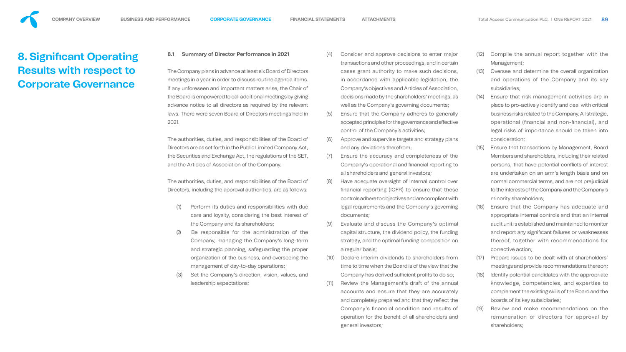#### **8.1 Summary of Director Performance in 2021**

The Company plans in advance at least six Board of Directors meetings in a year in order to discuss routine agenda items. If any unforeseen and important matters arise, the Chair of the Board is empowered to call additional meetings by giving advance notice to all directors as required by the relevant laws. There were seven Board of Directors meetings held in 2021.

The authorities, duties, and responsibilities of the Board of Directors are as set forth in the Public Limited Company Act, the Securities and Exchange Act, the regulations of the SET, and the Articles of Association of the Company.

The authorities, duties, and responsibilities of the Board of Directors, including the approval authorities, are as follows:

- (1) Perform its duties and responsibilities with due care and loyalty, considering the best interest of the Company and its shareholders;
- (2) Be responsible for the administration of the Company, managing the Company's long-term and strategic planning, safeguarding the proper organization of the business, and overseeing the management of day-to-day operations;
- (3) Set the Company's direction, vision, values, and leadership expectations;
- (4) Consider and approve decisions to enter major transactions and other proceedings, and in certain cases grant authority to make such decisions, in accordance with applicable legislation, the Company's objectives and Articles of Association, decisions made by the shareholders' meetings, as well as the Company's governing documents;
- (5) Ensure that the Company adheres to generally accepted principles for the governance and effective control of the Company's activities;
- (6) Approve and supervise targets and strategy plans and any deviations therefrom;
- (7) Ensure the accuracy and completeness of the Company's operational and financial reporting to all shareholders and general investors;
- (8) Have adequate oversight of internal control over nancial reporting (ICFR) to ensure that these controls adhere to objectives and are compliant with legal requirements and the Company's governing documents;
	- (9) Evaluate and discuss the Company's optimal capital structure, the dividend policy, the funding strategy, and the optimal funding composition on a regular basis;
	- (10) Declare interim dividends to shareholders from time to time when the Board is of the view that the Company has derived sufficient profits to do so;
	- Review the Management's draft of the annual accounts and ensure that they are accurately and completely prepared and that they reflect the Company's financial condition and results of operation for the benefit of all shareholders and general investors;
- (12) Compile the annual report together with the Management;
- (13) Oversee and determine the overall organization and operations of the Company and its key subsidiaries;
- (14) Ensure that risk management activities are in place to pro-actively identify and deal with critical business risks related to the Company. All strategic, operational (financial and non-financial), and legal risks of importance should be taken into consideration;
- (15) Ensure that transactions by Management, Board Members and shareholders, including their related persons, that have potential conflicts of interest are undertaken on an arm's length basis and on normal commercial terms, and are not prejudicial to the interests of the Company and the Company's minority shareholders;
- (16) Ensure that the Company has adequate and appropriate internal controls and that an internal audit unit is established and maintained to monitor and report any significant failures or weaknesses thereof, together with recommendations for corrective action;
- (17) Prepare issues to be dealt with at shareholders' meetings and provide recommendations thereon;
- (18) Identify potential candidates with the appropriate knowledge, competencies, and expertise to complement the existing skills of the Board and the boards of its key subsidiaries;
- (19) Review and make recommendations on the remuneration of directors for approval by shareholders;

<span id="page-16-0"></span>

# **8. Significant Operating Results with respect to Corporate Governance**

- 
- 
- 
- 
- 
- 
-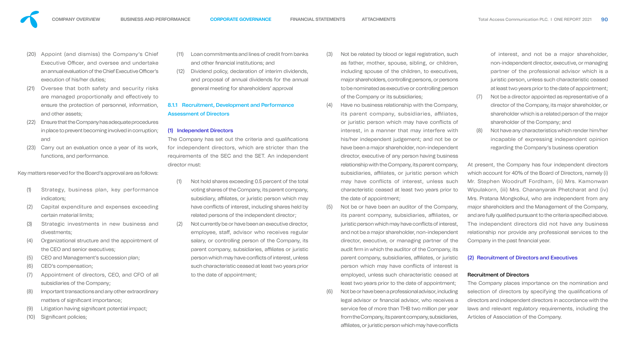

- (1) Strategy, business plan, key performance indicators;
- (2) Capital expenditure and expenses exceeding certain material limits;
- (3) Strategic investments in new business and divestments;
- (4) Organizational structure and the appointment of the CEO and senior executives;
- (5) CEO and Management's succession plan;
- (6) CEO's compensation;
- (7) Appointment of directors, CEO, and CFO of all subsidiaries of the Company;
- (8) Important transactions and any other extraordinary matters of significant importance;
- (9) Litigation having significant potential impact;
- (10) Significant policies;
- (21) Oversee that both safety and security risks are managed proportionally and effectively to ensure the protection of personnel, information, and other assets;
- (22) Ensure that the Company has adequate procedures in place to prevent becoming involved in corruption; and
- (23) Carry out an evaluation once a year of its work, functions, and performance.

Key matters reserved for the Board's approval are as follows:

- Loan commitments and lines of credit from banks and other financial institutions; and
- (12) Dividend policy, declaration of interim dividends, and proposal of annual dividends for the annual general meeting for shareholders' approval

The Company has set out the criteria and qualifications for independent directors, which are stricter than the requirements of the SEC and the SET. An independent director must:

- (4) Have no business relationship with the Company, its parent company, subsidiaries, affiliates, or juristic person which may have conflicts of interest, in a manner that may interfere with his/her independent judgement; and not be or have been a major shareholder, non-independent director, executive of any person having business relationship with the Company, its parent company, subsidiaries, affiliates, or juristic person which may have conflicts of interest, unless such characteristic ceased at least two years prior to the date of appointment;
	- (5) Not be or have been an auditor of the Company, its parent company, subsidiaries, affiliates, or juristic person which may have conflicts of interest and not be a major shareholder, non-independent director, executive, or managing partner of the audit firm in which the auditor of the Company, its parent company, subsidiaries, affiliates, or juristic person which may have conflicts of interest is employed, unless such characteristic ceased at least two years prior to the date of appointment;
	- (6) Not be or have been a professional advisor, including legal advisor or financial advisor, who receives a service fee of more than THB two million per year from the Company, its parent company, subsidiaries, affiliates, or juristic person which may have conflicts

# 8.1.1 Recruitment, Development and Performance Assessment of Directors

# (1) Independent Directors

- (1) Not hold shares exceeding 0.5 percent of the total voting shares of the Company, its parent company, subsidiary, affiliates, or juristic person which may have conflicts of interest, including shares held by related persons of the independent director;
- (2) Not currently be or have been an executive director, employee, staff, advisor who receives regular salary, or controlling person of the Company, its parent company, subsidiaries, affiliates or juristic person which may have conflicts of interest, unless such characteristic ceased at least two years prior to the date of appointment;

At present, the Company has four independent directors which account for 40% of the Board of Directors, namely (i) Mr. Stephen Woodruff Fordham, (ii) Mrs. Kamonwan Wipulakorn, (iii) Mrs. Chananyarak Phetcharat and (iv) Mrs. Pratana Mongkolkul, who are independent from any major shareholders and the Management of the Company, and are fully qualified pursuant to the criteria specified above. The independent directors did not have any business relationship nor provide any professional services to the Company in the past financial year.

(3) Not be related by blood or legal registration, such as father, mother, spouse, sibling, or children, including spouse of the children, to executives, major shareholders, controlling persons, or persons to be nominated as executive or controlling person of the Company or its subsidiaries;

of interest, and not be a major shareholder, non-independent director, executive, or managing partner of the professional advisor which is a juristic person, unless such characteristic ceased at least two years prior to the date of appointment; (7) Not be a director appointed as representative of a director of the Company, its major shareholder, or shareholder which is a related person of the major

- shareholder of the Company; and
- Not have any characteristics which render him/her incapable of expressing independent opinion regarding the Company's business operation

#### (2) Recruitment of Directors and Executives

#### Recruitment of Directors

The Company places importance on the nomination and selection of directors by specifying the qualifications of directors and independent directors in accordance with the laws and relevant regulatory requirements, including the Articles of Association of the Company.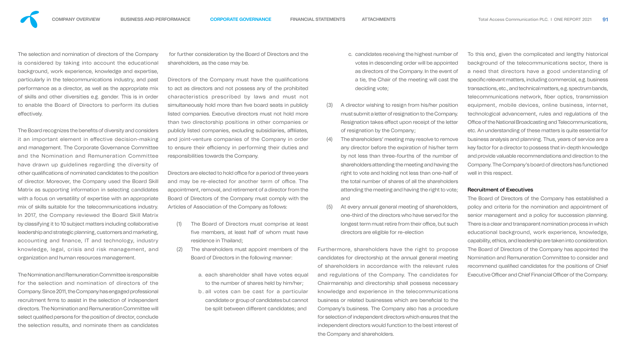

The selection and nomination of directors of the Company is considered by taking into account the educational background, work experience, knowledge and expertise, particularly in the telecommunications industry, and past performance as a director, as well as the appropriate mix of skills and other diversities e.g. gender. This is in order to enable the Board of Directors to perform its duties effectively.

The Board recognizes the benefits of diversity and considers it an important element in effective decision-making and management. The Corporate Governance Committee and the Nomination and Remuneration Committee have drawn up guidelines regarding the diversity of other qualifications of nominated candidates to the position of director. Moreover, the Company used the Board Skill Matrix as supporting information in selecting candidates with a focus on versatility of expertise with an appropriate mix of skills suitable for the telecommunications industry. In 2017, the Company reviewed the Board Skill Matrix by classifying it to 10 subject matters including collaborative leadership and strategic planning, customers and marketing, accounting and finance, IT and technology, industry knowledge, legal, crisis and risk management, and organization and human resources management.

Directors of the Company must have the qualifications to act as directors and not possess any of the prohibited characteristics prescribed by laws and must not simultaneously hold more than five board seats in publicly listed companies. Executive directors must not hold more than two directorship positions in other companies or publicly listed companies, excluding subsidiaries, affiliates, and joint-venture companies of the Company in order to ensure their efficiency in performing their duties and responsibilities towards the Company.

Directors are elected to hold office for a period of three years and may be re-elected for another term of office. The appointment, removal, and retirement of a director from the Board of Directors of the Company must comply with the Articles of Association of the Company as follows:

The Nomination and Remuneration Committee is responsible for the selection and nomination of directors of the Company. Since 2011, the Company has engaged professional recruitment firms to assist in the selection of independent directors. The Nomination and Remuneration Committee will select qualified persons for the position of director, conclude the selection results, and nominate them as candidates

 for further consideration by the Board of Directors and the shareholders, as the case may be.

> The Board of Directors of the Company has established a policy and criteria for the nomination and appointment of senior management and a policy for succession planning. There is a clear and transparent nomination process in which educational background, work experience, knowledge, capability, ethics, and leadership are taken into consideration. The Board of Directors of the Company has appointed the Nomination and Remuneration Committee to consider and recommend qualified candidates for the positions of Chief Executive Officer and Chief Financial Officer of the Company.

- c. candidates receiving the highest number of votes in descending order will be appointed as directors of the Company. In the event of a tie, the Chair of the meeting will cast the deciding vote;
- (3) A director wishing to resign from his/her position must submit a letter of resignation to the Company. Resignation takes effect upon receipt of the letter of resignation by the Company;
- (4) The shareholders' meeting may resolve to remove any director before the expiration of his/her term by not less than three-fourths of the number of shareholders attending the meeting and having the right to vote and holding not less than one-half of the total number of shares of all the shareholders attending the meeting and having the right to vote; and
- (5) At every annual general meeting of shareholders, one-third of the directors who have served for the longest term must retire from their office, but such directors are eligible for re-election
- (1) The Board of Directors must comprise at least five members, at least half of whom must have residence in Thailand;
- (2) The shareholders must appoint members of the Board of Directors in the following manner: a. each shareholder shall have votes equal to the number of shares held by him/her; b . all votes can be cast for a particular candidate or group of candidates but cannot be split between different candidates; and Furthermore, shareholders have the right to propose candidates for directorship at the annual general meeting of shareholders in accordance with the relevant rules and regulations of the Company. The candidates for Chairmanship and directorship shall possess necessary knowledge and experience in the telecommunications business or related businesses which are beneficial to the Company's business. The Company also has a procedure for selection of independent directors which ensures that the independent directors would function to the best interest of the Company and shareholders.
	-
	-

To this end, given the complicated and lengthy historical background of the telecommunications sector, there is a need that directors have a good understanding of specific relevant matters, including commercial, e.g. business transactions, etc., and technical matters, e.g. spectrum bands, telecommunications network, fiber optics, transmission equipment, mobile devices, online business, internet, technological advancement, rules and regulations of the Office of the National Broadcasting and Telecommunications, etc. An understanding of these matters is quite essential for business analysis and planning. Thus, years of service are a key factor for a director to possess that in-depth knowledge and provide valuable recommendations and direction to the Company. The Company's board of directors has functioned well in this respect.

#### Recruitment of Executives

- 
- 
- 
- 
- 
- 
- 
- 
-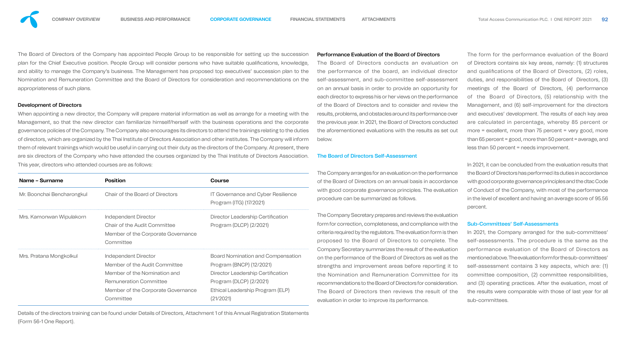The Board of Directors of the Company has appointed People Group to be responsible for setting up the succession plan for the Chief Executive position. People Group will consider persons who have suitable qualifications, knowledge, and ability to manage the Company's business. The Management has proposed top executives' succession plan to the Nomination and Remuneration Committee and the Board of Directors for consideration and recommendations on the appropriateness of such plans.

#### Development of Directors

When appointing a new director, the Company will prepare material information as well as arrange for a meeting with the Management, so that the new director can familiarize himself/herself with the business operations and the corporate governance policies of the Company. The Company also encourages its directors to attend the trainings relating to the duties of directors, which are organized by the Thai Institute of Directors Association and other institutes. The Company will inform them of relevant trainings which would be useful in carrying out their duty as the directors of the Company. At present, there are six directors of the Company who have attended the courses organized by the Thai Institute of Directors Association. This year, directors who attended courses are as follows:

| Name - Surname             | <b>Position</b>                                                                                                                                                                  | <b>Course</b>                                                                                                                                                                         |
|----------------------------|----------------------------------------------------------------------------------------------------------------------------------------------------------------------------------|---------------------------------------------------------------------------------------------------------------------------------------------------------------------------------------|
| Mr. Boonchai Bencharongkul | <b>Chair of the Board of Directors</b>                                                                                                                                           | <b>IT Governance and Cyber Resilience</b><br>Program (ITG) (17/2021)                                                                                                                  |
| Mrs. Kamonwan Wipulakorn   | <b>Independent Director</b><br><b>Chair of the Audit Committee</b><br>Member of the Corporate Governance<br>Committee                                                            | Director Leadership Certification<br>Program (DLCP) (2/2021)                                                                                                                          |
| Mrs. Pratana Mongkolkul    | <b>Independent Director</b><br>Member of the Audit Committee<br>Member of the Nomination and<br><b>Remuneration Committee</b><br>Member of the Corporate Governance<br>Committee | <b>Board Nomination and Compensation</b><br>Program (BNCP) (12/2021)<br>Director Leadership Certification<br>Program (DLCP) (2/2021)<br>Ethical Leadership Program (ELP)<br>(21/2021) |

Details of the directors training can be found under Details of Directors, Attachment 1 of this Annual Registration Statements (Form 56-1 One Report).

### Performance Evaluation of the Board of Directors

The Board of Directors conducts an evaluation on the performance of the board, an individual director self-assessment, and sub-committee self-assessment on an annual basis in order to provide an opportunity for each director to express his or her views on the performance of the Board of Directors and to consider and review the results, problems, and obstacles around its performance over the previous year. In 2021, the Board of Directors conducted the aforementioned evaluations with the results as set out below.

#### The Board of Directors Self-Assessment

The Company arranges for an evaluation on the performance of the Board of Directors on an annual basis in accordance with good corporate governance principles. The evaluation procedure can be summarized as follows.

The Company Secretary prepares and reviews the evaluation form for correction, completeness, and compliance with the criteria required by the regulators. The evaluation form is then proposed to the Board of Directors to complete. The Company Secretary summarizes the result of the evaluation on the performance of the Board of Directors as well as the strengths and improvement areas before reporting it to the Nomination and Remuneration Committee for its recommendations to the Board of Directors for consideration. The Board of Directors then reviews the result of the evaluation in order to improve its performance.

The form for the performance evaluation of the Board of Directors contains six key areas, namely: (1) structures and qualifications of the Board of Directors, (2) roles, duties, and responsibilities of the Board of Directors, (3) meetings of the Board of Directors, (4) performance of the Board of Directors, (5) relationship with the Management, and (6) self-improvement for the directors and executives' development. The results of each key area are calculated in percentage, whereby 85 percent or more = excellent, more than 75 percent = very good, more than 65 percent = good, more than 50 percent = average, and less than 50 percent = needs improvement.

In 2021, it can be concluded from the evaluation results that the Board of Directors has performed its duties in accordance with good corporate governance principles and the dtac Code of Conduct of the Company, with most of the performance in the level of excellent and having an average score of 95.56 percent.

#### Sub-Committees' Self-Assessments

In 2021, the Company arranged for the sub-committees' self-assessments. The procedure is the same as the performance evaluation of the Board of Directors as mentioned above. The evaluation form for the sub-committees' self-assessment contains 3 key aspects, which are: (1) committee composition, (2) committee responsibilities, and (3) operating practices. After the evaluation, most of the results were comparable with those of last year for all sub-committees.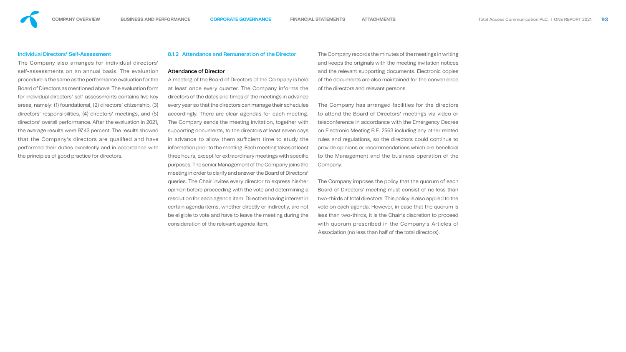#### Individual Directors' Self-Assessment

The Company also arranges for individual directors' self-assessments on an annual basis. The evaluation procedure is the same as the performance evaluation for the Board of Directors as mentioned above. The evaluation form for individual directors' self-assessments contains five key areas, namely: (1) foundational, (2) directors' citizenship, (3) directors' responsibilities, (4) directors' meetings, and (5) directors' overall performance. After the evaluation in 2021, the average results were 97.43 percent. The results showed that the Company's directors are qualified and have performed their duties excellently and in accordance with the principles of good practice for directors.

#### 8.1.2 Attendance and Remuneration of the Director

#### Attendance of Director

A meeting of the Board of Directors of the Company is held at least once every quarter. The Company informs the directors of the dates and times of the meetings in advance every year so that the directors can manage their schedules accordingly. There are clear agendas for each meeting. The Company sends the meeting invitation, together with supporting documents, to the directors at least seven days in advance to allow them sufficient time to study the information prior to the meeting. Each meeting takes at least three hours, except for extraordinary meetings with specific purposes. The senior Management of the Company joins the meeting in order to clarify and answer the Board of Directors' queries. The Chair invites every director to express his/her opinion before proceeding with the vote and determining a resolution for each agenda item. Directors having interest in certain agenda items, whether directly or indirectly, are not be eligible to vote and have to leave the meeting during the consideration of the relevant agenda item.

The Company records the minutes of the meetings in writing and keeps the originals with the meeting invitation notices and the relevant supporting documents. Electronic copies of the documents are also maintained for the convenience of the directors and relevant persons.

The Company has arranged facilities for the directors to attend the Board of Directors' meetings via video or teleconference in accordance with the Emergency Decree on Electronic Meeting B.E. 2563 including any other related rules and regulations, so the directors could continue to provide opinions or recommendations which are beneficial to the Management and the business operation of the Company.

The Company imposes the policy that the quorum of each Board of Directors' meeting must consist of no less than two-thirds of total directors. This policy is also applied to the vote on each agenda. However, in case that the quorum is less than two-thirds, it is the Chair's discretion to proceed with quorum prescribed in the Company's Articles of Association (no less than half of the total directors).

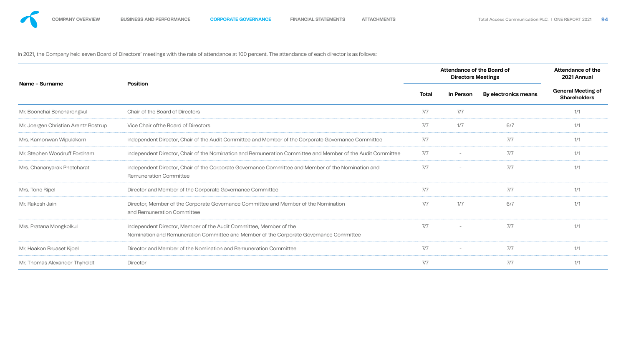

In 2021, the Company held seven Board of Directors' meetings with the rate of attendance at 100 percent. The attendance of each director is as follows:

|                                      |                                                                                                                                                              | <b>Attendance of the Board of</b> | <b>Attendance of the</b><br>2021 Annual |                      |                                                  |
|--------------------------------------|--------------------------------------------------------------------------------------------------------------------------------------------------------------|-----------------------------------|-----------------------------------------|----------------------|--------------------------------------------------|
| Name - Surname                       | <b>Position</b>                                                                                                                                              | Total                             | In Person                               | By electronics means | <b>General Meeting of</b><br><b>Shareholders</b> |
| Mr. Boonchai Bencharongkul           | <b>Chair of the Board of Directors</b>                                                                                                                       | 7/7                               | 7/7                                     |                      | 1/1                                              |
| Mr. Joergen Christian Arentz Rostrup | Vice Chair of the Board of Directors                                                                                                                         | 7/7                               | 1/7                                     | 6/7                  | 1/1                                              |
| Mrs. Kamonwan Wipulakorn             | Independent Director, Chair of the Audit Committee and Member of the Corporate Governance Committee                                                          | 7/7                               |                                         | 7/7                  | 1/1                                              |
| Mr. Stephen Woodruff Fordham         | Independent Director, Chair of the Nomination and Remuneration Committee and Member of the Audit Committee                                                   | 7/7                               | $\overline{\phantom{a}}$                | 7/7                  | 1/1                                              |
| Mrs. Chananyarak Phetcharat          | Independent Director, Chair of the Corporate Governance Committee and Member of the Nomination and<br><b>Remuneration Committee</b>                          | 7/7                               | $\overline{\phantom{a}}$                | 7/7                  | 1/1                                              |
| Mrs. Tone Ripel                      | Director and Member of the Corporate Governance Committee                                                                                                    | 7/7                               | $\overline{\phantom{a}}$                | 7/7                  | 1/1                                              |
| Mr. Rakesh Jain                      | Director, Member of the Corporate Governance Committee and Member of the Nomination<br>and Remuneration Committee                                            | 7/7                               | 1/7                                     | 6/7                  | 1/1                                              |
| Mrs. Pratana Mongkolkul              | Independent Director, Member of the Audit Committee, Member of the<br>Nomination and Remuneration Committee and Member of the Corporate Governance Committee | 7/7                               | $\overline{\phantom{a}}$                | 7/7                  | 1/1                                              |
| Mr. Haakon Bruaset Kjoel             | Director and Member of the Nomination and Remuneration Committee                                                                                             | 7/7                               | $\hspace{0.1mm}-\hspace{0.1mm}$         | 7/7                  | 1/1                                              |
| Mr. Thomas Alexander Thyholdt        | <b>Director</b>                                                                                                                                              | 7/7                               | $\hspace{0.1mm}-\hspace{0.1mm}$         | 7/7                  | 1/1                                              |
|                                      |                                                                                                                                                              |                                   |                                         |                      |                                                  |

| .,<br>. . |    |
|-----------|----|
| ł         | s, |
| ٧<br>۰.   |    |

| lal | of the |  |
|-----|--------|--|
| ers | ing of |  |
|     |        |  |
|     |        |  |
|     |        |  |
|     |        |  |
|     |        |  |
|     |        |  |
|     |        |  |
|     |        |  |
|     |        |  |
|     |        |  |
|     |        |  |
|     |        |  |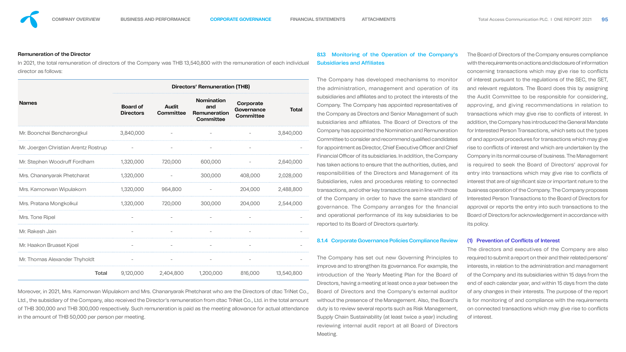#### Remuneration of the Director

In 2021, the total remuneration of directors of the Company was THB 13,540,800 with the remuneration of each individual director as follows:

|                                      | <b>Directors' Remuneration (THB)</b> |                                  |                                                              |                                             |              |  |  |  |  |
|--------------------------------------|--------------------------------------|----------------------------------|--------------------------------------------------------------|---------------------------------------------|--------------|--|--|--|--|
| <b>Names</b>                         | <b>Board of</b><br><b>Directors</b>  | <b>Audit</b><br><b>Committee</b> | <b>Nomination</b><br>and<br>Remuneration<br><b>Committee</b> | Corporate<br>Governance<br><b>Committee</b> | <b>Total</b> |  |  |  |  |
| Mr. Boonchai Bencharongkul           | 3,840,000                            |                                  |                                                              |                                             | 3,840,000    |  |  |  |  |
| Mr. Joergen Christian Arentz Rostrup |                                      |                                  |                                                              |                                             |              |  |  |  |  |
| Mr. Stephen Woodruff Fordham         | 1,320,000                            | 720,000                          | 600,000                                                      |                                             | 2,640,000    |  |  |  |  |
| Mrs. Chananyarak Phetcharat          | 1,320,000                            |                                  | 300,000                                                      | 408,000                                     | 2,028,000    |  |  |  |  |
| Mrs. Kamonwan Wipulakorn             | 1,320,000                            | 964,800                          |                                                              | 204,000                                     | 2,488,800    |  |  |  |  |
| Mrs. Pratana Mongkolkul              | 1,320,000                            | 720,000                          | 300,000                                                      | 204,000                                     | 2,544,000    |  |  |  |  |
| Mrs. Tone Ripel                      |                                      |                                  |                                                              |                                             |              |  |  |  |  |
| Mr. Rakesh Jain                      |                                      |                                  |                                                              |                                             |              |  |  |  |  |
| Mr. Haakon Bruaset Kjoel             |                                      |                                  |                                                              |                                             |              |  |  |  |  |
| Mr. Thomas Alexander Thyholdt        |                                      |                                  |                                                              |                                             |              |  |  |  |  |
| <b>Total</b>                         | 9,120,000                            | 2,404,800                        | 1,200,000                                                    | 816,000                                     | 13,540,800   |  |  |  |  |

Moreover, in 2021, Mrs. Kamonwan Wipulakorn and Mrs. Chananyarak Phetcharat who are the Directors of dtac TriNet Co., Ltd., the subsidiary of the Company, also received the Director's remuneration from dtac TriNet Co., Ltd. in the total amount of THB 300,000 and THB 300,000 respectively. Such remuneration is paid as the meeting allowance for actual attendance in the amount of THB 50,000 per person per meeting.

# 8.1.3 Monitoring of the Operation of the Company's Subsidiaries and Affiliates

The Company has developed mechanisms to monitor the administration, management and operation of its subsidiaries and affiliates and to protect the interests of the Company. The Company has appointed representatives of the Company as Directors and Senior Management of such subsidiaries and affiliates. The Board of Directors of the Company has appointed the Nomination and Remuneration Committee to consider and recommend qualified candidates for appointment as Director, Chief Executive Officer and Chief Financial Officer of its subsidiaries. In addition, the Company has taken actions to ensure that the authorities, duties, and responsibilities of the Directors and Management of its Subsidiaries, rules and procedures relating to connected transactions, and other key transactions are in line with those of the Company in order to have the same standard of governance. The Company arranges for the financial and operational performance of its key subsidiaries to be reported to its Board of Directors quarterly.

#### 8.1.4 Corporate Governance Policies Compliance Review

The Company has set out new Governing Principles to improve and to strengthen its governance. For example, the introduction of the Yearly Meeting Plan for the Board of Directors, having a meeting at least once a year between the Board of Directors and the Company's external auditor without the presence of the Management. Also, the Board's duty is to review several reports such as Risk Management, Supply Chain Sustainability (at least twice a year) including reviewing internal audit report at all Board of Directors Meeting.

The Board of Directors of the Company ensures compliance with the requirements on actions and disclosure of information concerning transactions which may give rise to conflicts of interest pursuant to the regulations of the SEC, the SET, and relevant regulators. The Board does this by assigning the Audit Committee to be responsible for considering, approving, and giving recommendations in relation to transactions which may give rise to conflicts of interest. In addition, the Company has introduced the General Mandate for Interested Person Transactions, which sets out the types of and approval procedures for transactions which may give rise to conflicts of interest and which are undertaken by the Company in its normal course of business. The Management is required to seek the Board of Directors' approval for entry into transactions which may give rise to conflicts of interest that are of significant size or important nature to the business operation of the Company. The Company proposes Interested Person Transactions to the Board of Directors for approval or reports the entry into such transactions to the Board of Directors for acknowledgement in accordance with its policy.

#### (1) Prevention of Conflicts of Interest

The directors and executives of the Company are also required to submit a report on their and their related persons' interests, in relation to the administration and management of the Company and its subsidiaries within 15 days from the end of each calendar year, and within 15 days from the date of any changes in their interests. The purpose of the report is for monitoring of and compliance with the requirements on connected transactions which may give rise to conflicts of interest.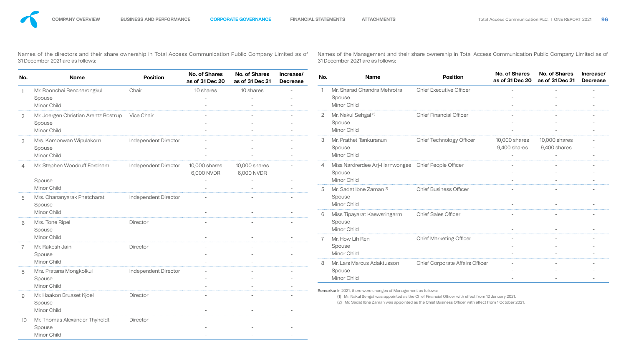Names of the directors and their share ownership in Total Access Communication Public Company Limited as of 31 December 2021 are as follows:

Names of the Management and their share ownership in Total Access Communication Public Company Limited as of 31 December 2021 are as follows:

| 정도 시 | ۰, |
|------|----|
| . .  |    |
|      |    |

| No.             | <b>Name</b>                          | <b>Position</b>             | <b>No. of Shares</b><br>as of 31 Dec 20              | <b>No. of Shares</b><br>as of 31 Dec 21 | Increase/<br><b>Decrease</b> | No.     | <b>Name</b>                                                                                                                                                           | <b>Position</b>                        | <b>No. of Shares</b><br>as of 31 Dec 20              | <b>No. of Shares</b><br>- In<br>as of 31 Dec 21 De |
|-----------------|--------------------------------------|-----------------------------|------------------------------------------------------|-----------------------------------------|------------------------------|---------|-----------------------------------------------------------------------------------------------------------------------------------------------------------------------|----------------------------------------|------------------------------------------------------|----------------------------------------------------|
|                 | Mr. Boonchai Bencharongkul           | Chair                       | 10 shares                                            | 10 shares                               | $\sim$                       |         | Mr. Sharad Chandra Mehrotra                                                                                                                                           | <b>Chief Executive Officer</b>         |                                                      |                                                    |
|                 | Spouse                               |                             | $\hspace{0.1mm}-\hspace{0.1mm}$                      |                                         | $\sim$                       |         | Spouse                                                                                                                                                                |                                        |                                                      | $\overline{\phantom{0}}$                           |
|                 | <b>Minor Child</b>                   |                             | $\overline{\phantom{a}}$                             |                                         |                              |         | <b>Minor Child</b>                                                                                                                                                    |                                        | $\overline{\phantom{0}}$                             |                                                    |
|                 | Mr. Joergen Christian Arentz Rostrup | <b>Vice Chair</b>           |                                                      |                                         | $\overline{\phantom{0}}$     |         | Mr. Nakul Sehgal (1)                                                                                                                                                  | <b>Chief Financial Officer</b>         | $\overline{\phantom{0}}$                             | $\overline{\phantom{0}}$                           |
|                 | Spouse                               |                             | $\overline{\phantom{a}}$                             | $\overline{\phantom{0}}$                | $\overline{\phantom{0}}$     |         | Spouse                                                                                                                                                                |                                        | $\overline{\phantom{0}}$                             | $\overline{\phantom{0}}$                           |
|                 | <b>Minor Child</b>                   |                             | $\overline{\phantom{a}}$                             | $\overline{\phantom{0}}$                | $\overline{\phantom{0}}$     |         | <b>Minor Child</b>                                                                                                                                                    |                                        | $\overline{\phantom{0}}$                             | $-$                                                |
| 3               | Mrs. Kamonwan Wipulakorn             | <b>Independent Director</b> | $\sim$                                               |                                         |                              | 3       | Mr. Prathet Tankuranun                                                                                                                                                | <b>Chief Technology Officer</b>        | 10,000 shares                                        | 10,000 shares                                      |
|                 | Spouse                               |                             | $\overline{\phantom{m}}$                             | $\overline{\phantom{0}}$                |                              |         | Spouse                                                                                                                                                                |                                        | 9,400 shares                                         | 9,400 shares                                       |
|                 | <b>Minor Child</b>                   |                             | $\overline{\phantom{0}}$                             |                                         |                              |         | <b>Minor Child</b>                                                                                                                                                    |                                        |                                                      |                                                    |
|                 | Mr. Stephen Woodruff Fordham         | <b>Independent Director</b> | <b>10,000 shares</b>                                 | 10,000 shares                           | $\overline{\phantom{0}}$     |         | Miss Nardrerdee Arj-Harnwongse                                                                                                                                        | <b>Chief People Officer</b>            |                                                      | $\overline{\phantom{0}}$                           |
|                 |                                      |                             | 6,000 NVDR                                           | 6,000 NVDR                              |                              |         | Spouse                                                                                                                                                                |                                        |                                                      | $\overline{\phantom{0}}$                           |
|                 | Spouse                               |                             | $\overline{\phantom{m}}$                             | $\overline{\phantom{0}}$                |                              |         | <b>Minor Child</b>                                                                                                                                                    |                                        |                                                      |                                                    |
|                 | <b>Minor Child</b>                   |                             | $\overline{\phantom{m}}$                             |                                         |                              | $\circ$ | Mr. Sadat Ibne Zaman <sup>(2)</sup>                                                                                                                                   | <b>Chief Business Officer</b>          | $\overline{\phantom{0}}$                             |                                                    |
| 5               | Mrs. Chananyarak Phetcharat          | <b>Independent Director</b> | $\overline{\phantom{a}}$                             | $\overline{\phantom{a}}$                | $\sim$                       |         | Spouse<br><b>Minor Child</b>                                                                                                                                          |                                        | $\overline{\phantom{0}}$<br>$\overline{\phantom{0}}$ |                                                    |
|                 | Spouse<br><b>Minor Child</b>         |                             | $\overline{\phantom{a}}$                             |                                         |                              |         |                                                                                                                                                                       |                                        |                                                      |                                                    |
|                 |                                      |                             |                                                      |                                         |                              | 6       | Miss Tipayarat Kaewsringarm                                                                                                                                           | <b>Chief Sales Officer</b>             | $\overline{\phantom{0}}$                             |                                                    |
| 6               | Mrs. Tone Ripel<br>Spouse            | <b>Director</b>             | $\overline{\phantom{0}}$<br>$\overline{\phantom{m}}$ | $\overline{\phantom{0}}$                |                              |         | Spouse<br><b>Minor Child</b>                                                                                                                                          |                                        |                                                      |                                                    |
|                 | <b>Minor Child</b>                   |                             | $\overline{\phantom{m}}$                             | $\sim$                                  | $\overline{\phantom{a}}$     |         | Mr. How Lih Ren                                                                                                                                                       | <b>Chief Marketing Officer</b>         |                                                      |                                                    |
|                 | Mr. Rakesh Jain                      | <b>Director</b>             | $\overline{\phantom{0}}$                             |                                         | $\overline{\phantom{0}}$     |         | Spouse                                                                                                                                                                |                                        | $\overline{\phantom{0}}$                             |                                                    |
|                 | Spouse                               |                             | $\overline{\phantom{a}}$                             |                                         |                              |         | <b>Minor Child</b>                                                                                                                                                    |                                        |                                                      |                                                    |
|                 | <b>Minor Child</b>                   |                             | $\overline{\phantom{m}}$                             | $\sim$                                  | $\overline{\phantom{a}}$     | 8       | Mr. Lars Marcus Adaktusson                                                                                                                                            | <b>Chief Corporate Affairs Officer</b> |                                                      |                                                    |
| 8               | Mrs. Pratana Mongkolkul              | <b>Independent Director</b> | $\overline{\phantom{a}}$                             |                                         |                              |         | Spouse                                                                                                                                                                |                                        | $\overline{\phantom{0}}$                             |                                                    |
|                 | Spouse                               |                             | $\overline{\phantom{0}}$                             | $\overline{\phantom{0}}$                | $\sim$                       |         | <b>Minor Child</b>                                                                                                                                                    |                                        | $-$                                                  | $-$                                                |
|                 | <b>Minor Child</b>                   |                             | $\overline{\phantom{m}}$                             | $\sim$                                  | $\overline{\phantom{a}}$     |         |                                                                                                                                                                       |                                        |                                                      |                                                    |
| 9               | Mr. Haakon Bruaset Kjoel             | <b>Director</b>             |                                                      |                                         | $\overline{\phantom{0}}$     |         | Remarks: In 2021, there were changes of Management as follows:<br>(1) Mr. Nakul Sehgal was appointed as the Chief Financial Officer with effect from 12 January 2021. |                                        |                                                      |                                                    |
|                 | Spouse                               |                             |                                                      |                                         |                              |         | (2) Mr. Sadat Ibne Zaman was appointed as the Chief Business Officer with effect from 1 October 2021.                                                                 |                                        |                                                      |                                                    |
|                 | Minor Child                          |                             | $\overline{\phantom{m}}$                             | $\sim$                                  |                              |         |                                                                                                                                                                       |                                        |                                                      |                                                    |
| 10 <sup>°</sup> | Mr. Thomas Alexander Thyholdt        | <b>Director</b>             | $\overline{\phantom{m}}$                             | $\overline{\phantom{0}}$                |                              |         |                                                                                                                                                                       |                                        |                                                      |                                                    |
|                 | Spouse                               |                             | $-$                                                  | $\sim$                                  | $\sim$                       |         |                                                                                                                                                                       |                                        |                                                      |                                                    |
|                 | Minor Child                          |                             | $\qquad \qquad -$                                    | $\sim$                                  | $\overline{\phantom{0}}$     |         |                                                                                                                                                                       |                                        |                                                      |                                                    |

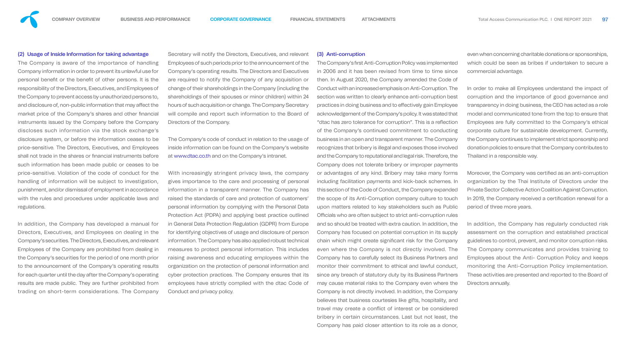

#### (2) Usage of Inside Information for taking advantage

The Company is aware of the importance of handling Company information in order to prevent its unlawful use for personal benefit or the benefit of other persons. It is the responsibility of the Directors, Executives, and Employees of the Company to prevent access by unauthorized persons to, and disclosure of, non-public information that may affect the market price of the Company's shares and other financial instruments issued by the Company before the Company discloses such information via the stock exchange's disclosure system, or before the information ceases to be price-sensitive. The Directors, Executives, and Employees shall not trade in the shares or financial instruments before such information has been made public or ceases to be price-sensitive. Violation of the code of conduct for the handling of information will be subject to investigation, punishment, and/or dismissal of employment in accordance with the rules and procedures under applicable laws and regulations.

In addition, the Company has developed a manual for Directors, Executives, and Employees on dealing in the Company's securities. The Directors, Executives, and relevant Employees of the Company are prohibited from dealing in the Company's securities for the period of one month prior to the announcement of the Company's operating results for each quarter until the day after the Company's operating results are made public. They are further prohibited from trading on short-term considerations. The Company

Secretary will notify the Directors, Executives, and relevant Employees of such periods prior to the announcement of the Company's operating results. The Directors and Executives are required to notify the Company of any acquisition or change of their shareholdings in the Company (including the shareholdings of their spouses or minor children) within 24 hours of such acquisition or change. The Company Secretary will compile and report such information to the Board of Directors of the Company.

The Company's code of conduct in relation to the usage of inside information can be found on the Company's website at www.dtac.co.th and on the Company's intranet.

The Company's first Anti-Corruption Policy was implemented in 2006 and it has been revised from time to time since then. In August 2020, the Company amended the Code of Conduct with an increased emphasis on Anti-Corruption. The section was written to clearly enhance anti-corruption best practices in doing business and to effectively gain Employee acknowledgement of the Company's policy. It was stated that "dtac has zero tolerance for corruption". This is a reflection of the Company's continued commitment to conducting business in an open and transparent manner. The Company recognizes that bribery is illegal and exposes those involved and the Company to reputational and legal risk. Therefore, the Company does not tolerate bribery or improper payments or advantages of any kind. Bribery may take many forms including facilitation payments and kick-back schemes. In this section of the Code of Conduct, the Company expanded the scope of its Anti-Corruption company culture to touch upon matters related to key stakeholders such as Public Officials who are often subject to strict anti-corruption rules and so should be treated with extra caution. In addition, the Company has focused on potential corruption in its supply chain which might create significant risk for the Company even where the Company is not directly involved. The Company has to carefully select its Business Partners and monitor their commitment to ethical and lawful conduct, since any breach of statutory duty by its Business Partners may cause material risks to the Company even where the Company is not directly involved. In addition, the Company believes that business courtesies like gifts, hospitality, and travel may create a conflict of interest or be considered bribery in certain circumstances. Last but not least, the Company has paid closer attention to its role as a donor,

With increasingly stringent privacy laws, the company gives importance to the care and processing of personal information in a transparent manner. The Company has raised the standards of care and protection of customers' personal information by complying with the Personal Data Protection Act (PDPA) and applying best practice outlined in General Data Protection Regulation (GDPR) from Europe for identifying objectives of usage and disclosure of person information. The Company has also applied robust technical measures to protect personal information. This includes raising awareness and educating employees within the organization on the protection of personal information and cyber protection practices. The Company ensures that its employees have strictly complied with the dtac Code of Conduct and privacy policy.

Moreover, the Company was certified as an anti-corruption organization by the Thai Institute of Directors under the Private Sector Collective Action Coalition Against Corruption. In 2019, the Company received a certification renewal for a period of three more years.

(3) Anti-corruption

even when concerning charitable donations or sponsorships, which could be seen as bribes if undertaken to secure a commercial advantage.

In order to make all Employees understand the impact of corruption and the importance of good governance and transparency in doing business, the CEO has acted as a role model and communicated tone from the top to ensure that Employees are fully committed to the Company's ethical corporate culture for sustainable development. Currently, the Company continues to implement strict sponsorship and donation policies to ensure that the Company contributes to Thailand in a responsible way.

In addition, the Company has regularly conducted risk assessment on the corruption and established practical guidelines to control, prevent, and monitor corruption risks. The Company communicates and provides training to Employees about the Anti- Corruption Policy and keeps monitoring the Anti-Corruption Policy implementation. These activities are presented and reported to the Board of Directors annually.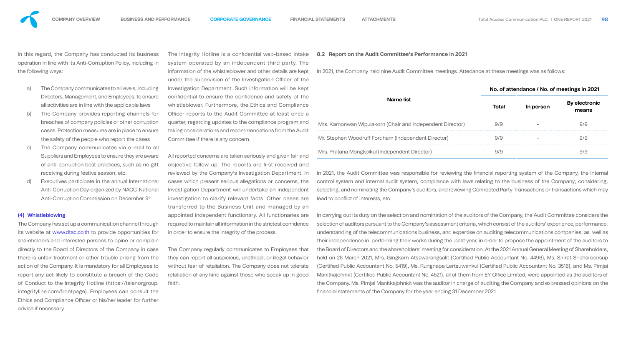In this regard, the Company has conducted its business operation in line with its Anti-Corruption Policy, including in the following ways:

- a) The Company communicates to all levels, including Directors, Management, and Employees, to ensure all activities are in line with the applicable laws
- b) The Company provides reporting channels for breaches of company policies or other corruption cases. Protection measures are in place to ensure the safety of the people who report the cases
- c) The Company communicates via e-mail to all Suppliers and Employees to ensure they are aware of anti-corruption best practices, such as no gift receiving during festive season, etc.
- d) Executives participate in the annual International Anti-Corruption Day organized by NACC-National Anti-Corruption Commission on December 9th

#### (4) Whistleblowing

The Integrity Hotline is a confidential web-based intake system operated by an independent third party. The information of the whistleblower and other details are kept under the supervision of the Investigation Officer of the Investigation Department. Such information will be kept confidential to ensure the confidence and safety of the whistleblower. Furthermore, the Ethics and Compliand Officer reports to the Audit Committee at least once quarter, regarding updates to the compliance program an taking considerations and recommendations from the Aud Committee if there is any concern.

The Company has set up a communication channel through its website at www.dtac.co.th to provide opportunities for shareholders and interested persons to opine or complain directly to the Board of Directors of the Company in case there is unfair treatment or other trouble arising from the action of the Company. It is mandatory for all Employees to report any act likely to constitute a breach of the Code of Conduct to the Integrity Hotline (https://telenorgroup. integrityline.com/frontpage). Employees can consult the Ethics and Compliance Officer or his/her leader for further advice if necessary.

All reported concerns are taken seriously and given fair and objective follow-up. The reports are first received and reviewed by the Company's Investigation Department. In cases which present serious allegations or concerns, the Investigation Department will undertake an independent investigation to clarify relevant facts. Other cases are transferred to the Business Unit and managed by an

#### **8.2 Report on the Audit Committee's Performance in 2021**

In 2021, the Company held nine Audit Committee meetings. Attedance at these meetings was as follows:



| рt      |                                                           |       | No. of attendance / No. of meetings in 2021 |                        |  |  |
|---------|-----------------------------------------------------------|-------|---------------------------------------------|------------------------|--|--|
| ٦e<br>a | Name list                                                 | Total | In person                                   | By electronic<br>means |  |  |
| าต      | Mrs. Kamonwan Wipulakorn (Chair and Independent Director) | 979   |                                             |                        |  |  |
| dit     | Mr. Stephen Woodruff Fordham (Independent Director)       |       |                                             |                        |  |  |
| n ri    | Mrs. Pratana Mongkolkul (Independent Director)            |       |                                             |                        |  |  |

In 2021, the Audit Committee was responsible for reviewing the financial reporting system of the Company, the internal control system and internal audit system; compliance with laws relating to the business of the Company; considering, selecting, and nominating the Company's auditors; and reviewing Connected Party Transactions or transactions which may lead to conflict of interests, etc.



appointed independent functionary. All functionaries are required to maintain all information in the strictest confidence in order to ensure the integrity of the process. The Company regularly communicates to Employees that they can report all suspicious, unethical, or illegal behavior without fear of retaliation. The Company does not tolerate retaliation of any kind against those who speak up in good faith. In carrying out its duty on the selection and nomination of the auditors of the Company, the Audit Committee considers the selection of auditors pursuant to the Company's assessment criteria, which consist of the auditors' experience, performance, understanding of the telecommunications business, and expertise on auditing telecommunications companies, as well as their independence in performing their works during the past year, in order to propose the appointment of the auditors to the Board of Directors and the shareholders' meeting for consideration. At the 2021 Annual General Meeting of Shareholders, held on 26 March 2021, Mrs. Gingkarn Atsawarangsalit (Certified Public Accountant No. 4496), Ms. Sirirat Sricharoensup (Certified Public Accountant No. 5419), Ms. Rungnapa Lertsuwankul (Certified Public Accountant No. 3516), and Ms. Pimjai Manitkajohnkit (Certified Public Accountant No. 4521), all of them from EY Office Limited, were appointed as the auditors of the Company. Ms. Pimjai Manitkajohnkit was the auditor in charge of auditing the Company and expressed opinions on the nancial statements of the Company for the year ending 31 December 2021.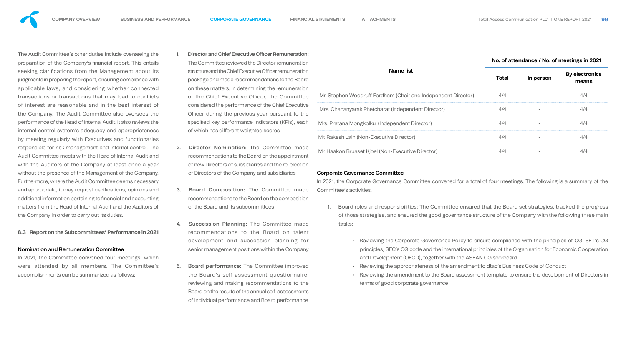

The Audit Committee's other duties include overseeing the preparation of the Company's financial report. This entails seeking clarifications from the Management about its judgments in preparing the report, ensuring compliance with applicable laws, and considering whether connected transactions or transactions that may lead to conflicts of interest are reasonable and in the best interest of the Company. The Audit Committee also oversees the performance of the Head of Internal Audit. It also reviews the internal control system's adequacy and appropriateness by meeting regularly with Executives and functionaries responsible for risk management and internal control. The Audit Committee meets with the Head of Internal Audit and with the Auditors of the Company at least once a year without the presence of the Management of the Company. Furthermore, where the Audit Committee deems necessary and appropriate, it may request clarifications, opinions and additional information pertaining to financial and accounting matters from the Head of Internal Audit and the Auditors of the Company in order to carry out its duties.

In 2021, the Committee convened four meetings, which were attended by all members. The Committee's accomplishments can be summarized as follows:

#### **8.3 Report on the Subcommittees' Performance in 2021**

#### Nomination and Remuneration Committee

- 1. Director and Chief Executive Officer Remuneration The Committee reviewed the Director remuneration structure and the Chief Executive Officer remuner package and made recommendations to the E on these matters. In determining the remuneration of the Chief Executive Officer, the Comm considered the performance of the Chief Exec Officer during the previous year pursuant to specified key performance indicators (KPIs), of which has different weighted scores
- 2. Director Nomination: The Committee r recommendations to the Board on the appoint of new Directors of subsidiaries and the re-ele of Directors of the Company and subsidiaries
- 3. Board Composition: The Committee nade recommendations to the Board on the compoof the Board and its subcommittees
- 4. Succession Planning: The Committee recommendations to the Board on ta development and succession planning senior management positions within the Companion
- 5. Board performance: The Committee improved the Board's self-assessment questionn reviewing and making recommendations to Board on the results of the annual self-assessr of individual performance and Board performance











| <b>Name list</b><br>Mr. Stephen Woodruff Fordham (Chair and Independent Director)<br>Mrs. Chananyarak Phetcharat (Independent Director)<br>Mrs. Pratana Mongkolkul (Independent Director) | <b>Total</b><br>4/4<br>4/4 | In person | <b>By electronics</b><br>means<br>4/4 |
|-------------------------------------------------------------------------------------------------------------------------------------------------------------------------------------------|----------------------------|-----------|---------------------------------------|
|                                                                                                                                                                                           |                            |           |                                       |
|                                                                                                                                                                                           |                            |           |                                       |
|                                                                                                                                                                                           |                            |           | 4/4                                   |
|                                                                                                                                                                                           | 4/4                        |           | 4/4                                   |
| Mr. Rakesh Jain (Non-Executive Director)                                                                                                                                                  | 4/4                        |           | 4/4                                   |
| Mr. Haakon Bruaset Kjoel (Non-Executive Director)                                                                                                                                         | 4/4                        |           | 4/4                                   |
| Board roles and responsibilities: The Committee ensured that the Board set strategies, tracked the progress                                                                               |                            |           |                                       |
| of those strategies, and ensured the good governance structure of the Company with the following three main                                                                               |                            |           |                                       |
| tasks:                                                                                                                                                                                    |                            |           |                                       |
|                                                                                                                                                                                           |                            |           |                                       |
| Reviewing the Corporate Governance Policy to ensure compliance with the principles of CG, SET's CG                                                                                        |                            |           |                                       |
| principles, SEC's CG code and the international principles of the Organisation for Economic Cooperation<br>and Development (OECD), together with the ASEAN CG scorecard                   |                            |           |                                       |
| Reviewing the appropriateness of the amendment to dtac's Business Code of Conduct                                                                                                         |                            |           |                                       |
| Reviewing the amendment to the Board assessment template to ensure the development of Directors in                                                                                        |                            |           |                                       |
| terms of good corporate governance                                                                                                                                                        |                            |           |                                       |
|                                                                                                                                                                                           |                            |           |                                       |

| ۰, |
|----|
|    |
|    |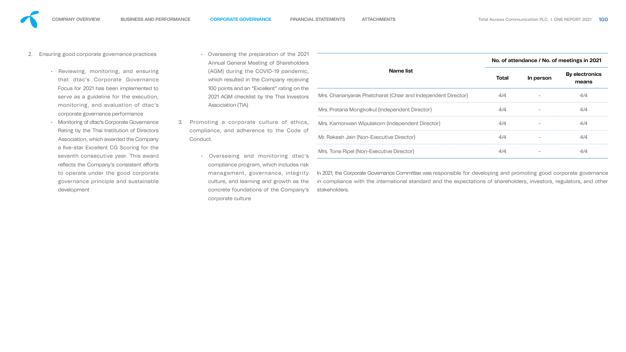

- 2. Ensuring good corporate governance practices
	- Reviewing, monitoring, and ensuring that dtac's Corporate Governance Focus for 2021 has been implemented to serve as a guideline for the execution, monitoring, and evaluation of dtac's corporate governance performance
	- Monitoring of dtac's Corporate Governance Rating by the Thai Institution of Directors Association, which awarded the Company a five-star Excellent CG Scoring for the seventh consecutive year. This award reflects the Company's consistent efforts to operate under the good corporate governance principle and sustainable development
- Overseeing the preparation of the Annual General Meeting of Shareho (AGM) during the COVID-19 pande which resulted in the Company rece 100 points and an "Excellent" rating o 2021 AGM checklist by the Thai Inve Association (TIA)
- 3. Promoting a corporate culture of eth compliance, and adherence to the Cod Conduct.
	- Overseeing and monitoring d compliance program, which include management, governance, inte culture, and learning and growth as the concrete foundations of the Company's corporate culture



| Name list                                                    | <b>Total</b> | In person | <b>By electronics</b><br>means |
|--------------------------------------------------------------|--------------|-----------|--------------------------------|
| Mrs. Chananyarak Phetcharat (Chair and Independent Director) | 4/4          |           | 4/4                            |
| Mrs. Pratana Mongkolkul (Independent Director)               | 4/4          |           | 4/4                            |
| Mrs. Kamonwan Wipulakorn (Independent Director)              | 4/4          |           | 4/4                            |
| Mr. Rakesh Jain (Non-Executive Director)                     | 4/4          |           | 4/4                            |
| Mrs. Tone Ripel (Non-Executive Director)                     | 4/4          |           | 4/4                            |

in compliance with the international standard and the expectations of shareholders, investors, regulators, and other stakeholders.

| 21 | 100 |  |
|----|-----|--|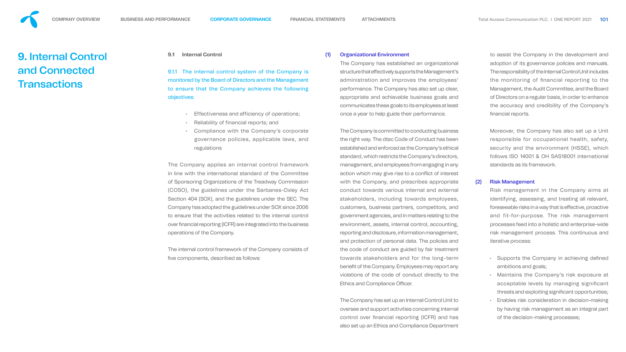#### **9.1 Internal Control**

9.1.1 The internal control system of the Company is monitored by the Board of Directors and the Management to ensure that the Company achieves the following objectives:

- Effectiveness and efficiency of operations;
- Reliability of financial reports; and
- Compliance with the Company's corporate governance policies, applicable laws, and regulations

The internal control framework of the Company consists of five components, described as follows:

The Company applies an internal control framework in line with the international standard of the Committee of Sponsoring Organizations of the Treadway Commission (COSO), the guidelines under the Sarbanes-Oxley Act Section 404 (SOX), and the guidelines under the SEC. The Company has adopted the guidelines under SOX since 2006 to ensure that the activities related to the internal control over financial reporting (ICFR) are integrated into the business operations of the Company.

The Company is committed to conducting business the right way. The dtac Code of Conduct has been established and enforced as the Company's ethical standard, which restricts the Company's directors, management, and employees from engaging in any action which may give rise to a conflict of interest with the Company, and prescribes appropriate conduct towards various internal and external stakeholders, including towards employees, customers, business partners, competitors, and government agencies, and in matters relating to the environment, assets, internal control, accounting, reporting and disclosure, information management, and protection of personal data. The policies and the code of conduct are guided by fair treatment towards stakeholders and for the long-term benefit of the Company. Employees may report any violations of the code of conduct directly to the Ethics and Compliance Officer.

### (1) Organizational Environment

The Company has established an organizational structure that effectively supports the Management's administration and improves the employees' performance. The Company has also set up clear, appropriate and achievable business goals and communicates these goals to its employees at least once a year to help guide their performance.

to assist the Company in the development and adoption of its governance policies and manuals. The responsibility of the Internal Control Unit includes the monitoring of financial reporting to the Management, the Audit Committee, and the Board of Directors on a regular basis, in order to enhance the accuracy and credibility of the Company's financial reports.

<span id="page-28-0"></span>

- Supports the Company in achieving defined ambitions and goals;
- Maintains the Company's risk exposure at acceptable levels by managing significant threats and exploiting significant opportunities;
- Enables risk consideration in decision-making by having risk management as an integral part of the decision-making processes;

# **9.** Internal Control and Connected **Transactions**



The Company has set up an Internal Control Unit to oversee and support activities concerning internal control over financial reporting (ICFR) and has also set up an Ethics and Compliance Department Moreover, the Company has also set up a Unit responsible for occupational health, safety, security and the environment (HSSE), which follows ISO 14001 & OH SAS18001 international standards as its framework.

### (2) Risk Management

Risk management in the Company aims at identifying, assessing, and treating all relevant, foreseeable risks in a way that is effective, proactive and fit-for-purpose. The risk management processes feed into a holistic and enterprise-wide risk management process. This continuous and iterative process: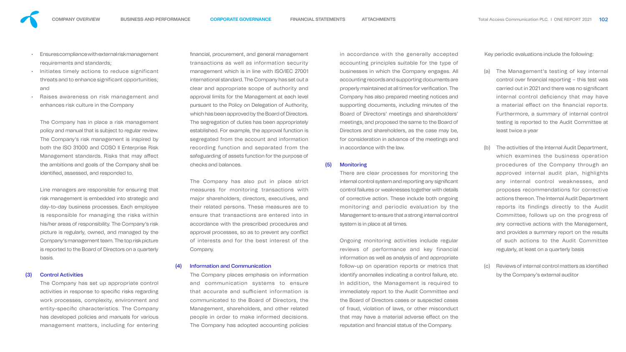

- Ensures compliance with external risk management requirements and standards;
- Initiates timely actions to reduce significant threats and to enhance significant opportunities; and
- Raises awareness on risk management and enhances risk culture in the Company

The Company has in place a risk management policy and manual that is subject to regular review. The Company's risk management is inspired by both the ISO 31000 and COSO II Enterprise Risk Management standards. Risks that may affect the ambitions and goals of the Company shall be identified, assessed, and responded to.

Line managers are responsible for ensuring that risk management is embedded into strategic and day-to-day business processes. Each employee is responsible for managing the risks within his/her areas of responsibility. The Company's risk picture is regularly, owned, and managed by the Company's management team. The top risk picture is reported to the Board of Directors on a quarterly basis.

#### (3) Control Activities

The Company has set up appropriate control activities in response to specific risks regarding work processes, complexity, environment and entity-specific characteristics. The Company has developed policies and manuals for various management matters, including for entering nancial, procurement, and general management transactions as well as information security management which is in line with ISO/IEC 27001 international standard. The Company has set out a clear and appropriate scope of authority and approval limits for the Management at each level pursuant to the Policy on Delegation of Authority, which has been approved by the Board of Directors. The segregation of duties has been appropriately established. For example, the approval function is segregated from the account and information recording function and separated from the safeguarding of assets function for the purpose of checks and balances.

> Ongoing monitoring activities include regular reviews of performance and key financial information as well as analysis of and appropriate follow-up on operation reports or metrics that identify anomalies indicating a control failure, etc. In addition, the Management is required to immediately report to the Audit Committee and the Board of Directors cases or suspected cases of fraud, violation of laws, or other misconduct that may have a material adverse effect on the reputation and financial status of the Company.

The Company has also put in place strict measures for monitoring transactions with major shareholders, directors, executives, and their related persons. These measures are to ensure that transactions are entered into in accordance with the prescribed procedures and approval processes, so as to prevent any conflict of interests and for the best interest of the Company.

#### (4) Information and Communication

The Company places emphasis on information and communication systems to ensure that accurate and sufficient information is communicated to the Board of Directors, the Management, shareholders, and other related people in order to make informed decisions. The Company has adopted accounting policies

in accordance with the generally accepted accounting principles suitable for the type of businesses in which the Company engages. All accounting records and supporting documents are properly maintained at all times for verification. The Company has also prepared meeting notices and supporting documents, including minutes of the Board of Directors' meetings and shareholders' meetings, and proposed the same to the Board of Directors and shareholders, as the case may be, for consideration in advance of the meetings and in accordance with the law.

#### (5) Monitoring

There are clear processes for monitoring the internal control system and reporting any significant control failures or weaknesses together with details of corrective action. These include both ongoing monitoring and periodic evaluation by the Management to ensure that a strong internal control system is in place at all times.

Key periodic evaluations include the following:

- (a) The Management's testing of key internal control over financial reporting - this test was carried out in 2021 and there was no signicant internal control deficiency that may have a material effect on the financial reports. Furthermore, a summary of internal control testing is reported to the Audit Committee at least twice a year
- (b) The activities of the Internal Audit Department, which examines the business operation procedures of the Company through an approved internal audit plan, highlights any internal control weaknesses, and proposes recommendations for corrective actions thereon. The Internal Audit Department reports its findings directly to the Audit Committee, follows up on the progress of any corrective actions with the Management, and provides a summary report on the results of such actions to the Audit Committee regularly, at least on a quarterly basis
- (c) Reviews of internal control matters as identified by the Company's external auditor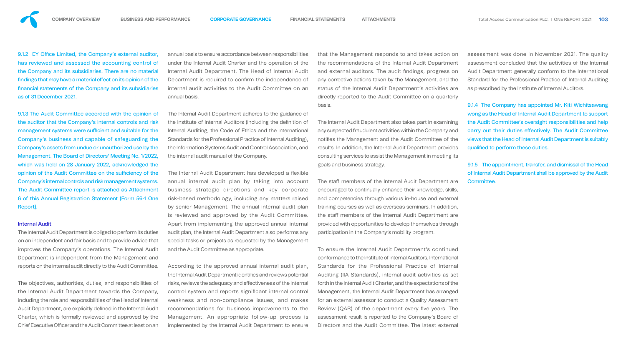9.1.2 EY Office Limited, the Company's external auditor, has reviewed and assessed the accounting control of the Company and its subsidiaries. There are no material findings that may have a material effect on its opinion of the nancial statements of the Company and its subsidiaries as of 31 December 2021.

9.1.3 The Audit Committee accorded with the opinion of the auditor that the Company's internal controls and risk management systems were sufficient and suitable for the Company's business and capable of safeguarding the Company's assets from undue or unauthorized use by the Management. The Board of Directors' Meeting No. 1/2022, which was held on 28 January 2022, acknowledged the opinion of the Audit Committee on the sufficiency of the Company's internal controls and risk management systems. The Audit Committee report is attached as Attachment 6 of this Annual Registration Statement (Form 56-1 One Report).

The objectives, authorities, duties, and responsibilities of the Internal Audit Department towards the Company, including the role and responsibilities of the Head of Internal Audit Department, are explicitly defined in the Internal Audit Charter, which is formally reviewed and approved by the Chief Executive Officer and the Audit Committee at least on an

#### Internal Audit

The Internal Audit Department is obliged to perform its duties on an independent and fair basis and to provide advice that improves the Company's operations. The Internal Audit Department is independent from the Management and reports on the internal audit directly to the Audit Committee. The Internal Audit Department has developed a flexible annual internal audit plan by taking into account business strategic directions and key corporate risk-based methodology, including any matters raised by senior Management. The annual internal audit plan is reviewed and approved by the Audit Committee. Apart from implementing the approved annual internal audit plan, the Internal Audit Department also performs any special tasks or projects as requested by the Management and the Audit Committee as appropriate. The staff members of the Internal Audit Department are encouraged to continually enhance their knowledge, skills, and competencies through various in-house and external training courses as well as overseas seminars. In addition, the staff members of the Internal Audit Department are provided with opportunities to develop themselves through participation in the Company's mobility program.

9.1.4 The Company has appointed Mr. Kiti Wichitsawang wong as the Head of Internal Audit Department to support the Audit Committee's oversight responsibilities and help carry out their duties effectively. The Audit Committee views that the Head of Internal Audit Department is suitably qualified to perform these duties.

annual basis to ensure accordance between responsibilities under the Internal Audit Charter and the operation of the Internal Audit Department. The Head of Internal Audit Department is required to confirm the independence of internal audit activities to the Audit Committee on an annual basis. that the Management responds to and takes action on the recommendations of the Internal Audit Department and external auditors. The audit findings, progress on any corrective actions taken by the Management, and the status of the Internal Audit Department's activities are directly reported to the Audit Committee on a quarterly basis.

The Internal Audit Department adheres to the guidance of the Institute of Internal Auditors (including the definition of Internal Auditing, the Code of Ethics and the International Standards for the Professional Practice of Internal Auditing), the Information Systems Audit and Control Association, and the internal audit manual of the Company. The Internal Audit Department also takes part in examining any suspected fraudulent activities within the Company and notifies the Management and the Audit Committee of the results. In addition, the Internal Audit Department provides consulting services to assist the Management in meeting its goals and business strategy.

According to the approved annual internal audit plan, the Internal Audit Department identifies and reviews potential risks, reviews the adequacy and effectiveness of the internal control system and reports significant internal control weakness and non-compliance issues, and makes recommendations for business improvements to the Management. An appropriate follow-up process is implemented by the Internal Audit Department to ensure To ensure the Internal Audit Department's continued conformance to the Institute of Internal Auditors, International Standards for the Professional Practice of Internal Auditing (IIA Standards), internal audit activities as set forth in the Internal Audit Charter, and the expectations of the Management, the Internal Audit Department has arranged for an external assessor to conduct a Quality Assessment Review (QAR) of the department every five years. The assessment result is reported to the Company's Board of Directors and the Audit Committee. The latest external

assessment was done in November 2021. The quality assessment concluded that the activities of the Internal Audit Department generally conform to the International Standard for the Professional Practice of Internal Auditing as prescribed by the Institute of Internal Auditors.

9.1.5 The appointment, transfer, and dismissal of the Head of Internal Audit Department shall be approved by the Audit Committee.







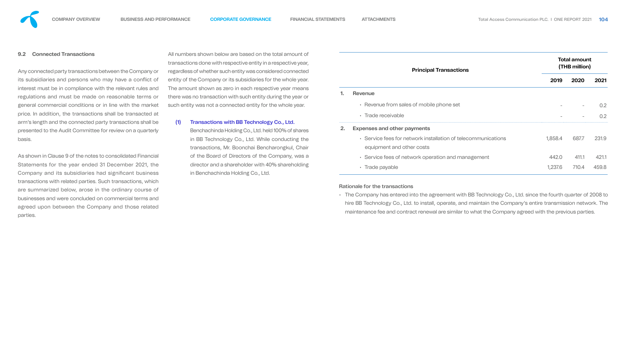#### **9.2 Connected Transactions**

Any connected party transactions between the Company or its subsidiaries and persons who may have a conflict of interest must be in compliance with the relevant rules and regulations and must be made on reasonable terms or general commercial conditions or in line with the market price. In addition, the transactions shall be transacted at arm's length and the connected party transactions shall be presented to the Audit Committee for review on a quarterly basis.

As shown in Clause 9 of the notes to consolidated Financial Statements for the year ended 31 December 2021, the Company and its subsidiaries had significant business transactions with related parties. Such transactions, which are summarized below, arose in the ordinary course of businesses and were concluded on commercial terms and agreed upon between the Company and those related parties.

All numbers shown below are based on the total amo transactions done with respective entity in a respective regardless of whether such entity was considered connected entity of the Company or its subsidiaries for the whole The amount shown as zero in each respective year r there was no transaction with such entity during the y such entity was not a connected entity for the whole

(1) Transactions with BB Technology Co., Ltd. Benchachinda Holding Co., Ltd. held 100% of shares in BB Technology Co., Ltd. While conducting transactions, Mr. Boonchai Bencharongkul, of the Board of Directors of the Company, director and a shareholder with 40% sharehed in Benchachinda Holding Co., Ltd.



| unt of<br>e year,<br><b>nected</b> |    | <b>Principal Transactions</b>                                                              | <b>Total amount</b><br>(THB million) |       |       |  |  |
|------------------------------------|----|--------------------------------------------------------------------------------------------|--------------------------------------|-------|-------|--|--|
| e year.                            |    |                                                                                            | 2019                                 | 2020  | 2021  |  |  |
| neans<br>ear or                    | 1. | <b>Revenue</b>                                                                             |                                      |       |       |  |  |
| year.                              |    | • Revenue from sales of mobile phone set                                                   |                                      |       | 0.2   |  |  |
|                                    |    | · Trade receivable                                                                         |                                      |       | 0.2   |  |  |
| shares                             | 2. | <b>Expenses and other payments</b>                                                         |                                      |       |       |  |  |
| าg the<br>Chair                    |    | • Service fees for network installation of telecommunications<br>equipment and other costs | 1,858.4                              | 687.7 | 231.9 |  |  |
| was a                              |    | • Service fees of network operation and management                                         | 442.0                                | 411.1 | 421.1 |  |  |
| olding                             |    | • Trade payable                                                                            | 1,237.6                              | 710.4 | 459.8 |  |  |
|                                    |    |                                                                                            |                                      |       |       |  |  |

#### Rationale for the transactions

• The Company has entered into the agreement with BB Technology Co., Ltd. since the fourth quarter of 2008 to hire BB Technology Co., Ltd. to install, operate, and maintain the Company's entire transmission network. The maintenance fee and contract renewal are similar to what the Company agreed with the previous parties.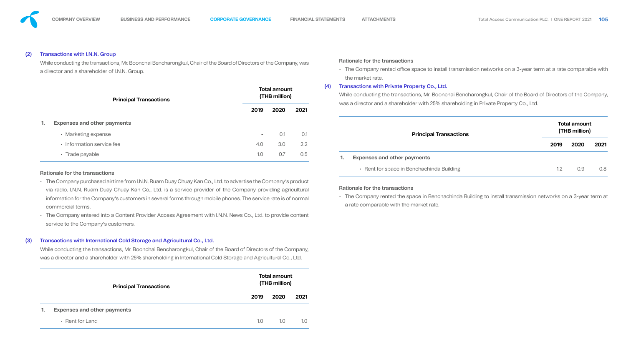#### (2) Transactions with I.N.N. Group

While conducting the transactions, Mr. Boonchai Bencharongkul, Chair of the Board of Directors of the Compan a director and a shareholder of I.N.N. Group.

|    | <b>Principal Transactions</b>      |                          | <b>Total amount</b><br>(THB million) |      |
|----|------------------------------------|--------------------------|--------------------------------------|------|
|    |                                    | 2019                     | 2020                                 | 2021 |
| 1. | <b>Expenses and other payments</b> |                          |                                      |      |
|    | • Marketing expense                | $\overline{\phantom{a}}$ | 0.1                                  | O.1  |
|    | • Information service fee          | 4.0                      | 3.0                                  | 2.2  |
|    | • Trade payable                    | 1.0                      | 0.7                                  | 0.5  |

#### Rationale for the transactions

- The Company purchased airtime from I.N.N. Ruam Duay Chuay Kan Co., Ltd. to advertise the Company's pro via radio. I.N.N. Ruam Duay Chuay Kan Co., Ltd. is a service provider of the Company providing agricu information for the Company's customers in several forms through mobile phones. The service rate is of no commercial terms.
- The Company entered into a Content Provider Access Agreement with I.N.N. News Co., Ltd. to provide content service to the Company's customers.

#### (3) Transactions with International Cold Storage and Agricultural Co., Ltd.

While conducting the transactions, Mr. Boonchai Bencharongkul, Chair of the Board of Directors of the Company, was a director and a shareholder with 25% shareholding in International Cold Storage and Agricultural Co., Ltd.

**2019 2020 2021**

|    | <b>Principal Transactions</b>      |      | <b>Total amount</b><br>(THB million) |      |
|----|------------------------------------|------|--------------------------------------|------|
|    |                                    | 2019 | 2020                                 | 2021 |
| 1. | <b>Expenses and other payments</b> |      |                                      |      |
|    | • Rent for Land                    | 1.0  | 1.0                                  | 1.0  |

| (4) | • The Company rented office space to install transmission networks on a 3-year term at a rate comparable with<br>the market rate.<br><b>Transactions with Private Property Co., Ltd.</b>  |      |                                      |      |
|-----|-------------------------------------------------------------------------------------------------------------------------------------------------------------------------------------------|------|--------------------------------------|------|
|     | While conducting the transactions, Mr. Boonchai Bencharongkul, Chair of the Board of Directors of the Company,                                                                            |      |                                      |      |
|     | was a director and a shareholder with 25% shareholding in Private Property Co., Ltd.                                                                                                      |      |                                      |      |
|     | <b>Principal Transactions</b>                                                                                                                                                             |      | <b>Total amount</b><br>(THB million) |      |
|     |                                                                                                                                                                                           | 2019 | 2020                                 | 2021 |
|     | <b>Expenses and other payments</b><br>1.                                                                                                                                                  |      |                                      |      |
|     | • Rent for space in Benchachinda Building                                                                                                                                                 | 1.2  | 0.9                                  | 0.8  |
|     | Rationale for the transactions<br>• The Company rented the space in Benchachinda Building to install transmission networks on a 3-year term at<br>a rate comparable with the market rate. |      |                                      |      |

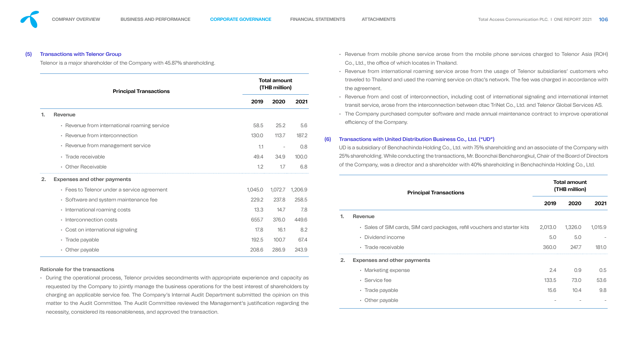#### (5) Transactions with Telenor Group

Telenor is a major shareholder of the Company with 45.87% shareholding.

|       |     | • Revenue from mobile phone service arose from the mobile phone services charged to Telenor Asia (ROH)<br>Co., Ltd., the office of which locates in Thailand.                                                                     |         |                                      |         |
|-------|-----|-----------------------------------------------------------------------------------------------------------------------------------------------------------------------------------------------------------------------------------|---------|--------------------------------------|---------|
|       |     | • Revenue from international roaming service arose from the usage of Telenor subsidiaries' customers who                                                                                                                          |         |                                      |         |
|       |     | traveled to Thailand and used the roaming service on dtac's network. The fee was charged in accordance with<br>the agreement.                                                                                                     |         |                                      |         |
| 2021  |     | • Revenue from and cost of interconnection, including cost of international signaling and international internet<br>transit service, arose from the interconnection between dtac TriNet Co., Ltd. and Telenor Global Services AS. |         |                                      |         |
|       |     | • The Company purchased computer software and made annual maintenance contract to improve operational                                                                                                                             |         |                                      |         |
| 5.6   |     | efficiency of the Company.                                                                                                                                                                                                        |         |                                      |         |
| 187.2 | (6) | Transactions with United Distribution Business Co., Ltd. ("UD")                                                                                                                                                                   |         |                                      |         |
| 0.8   |     | UD is a subsidiary of Benchachinda Holding Co., Ltd. with 75% shareholding and an associate of the Company with                                                                                                                   |         |                                      |         |
| 100.0 |     | 25% shareholding. While conducting the transactions, Mr. Boonchai Bencharongkul, Chair of the Board of Directors                                                                                                                  |         |                                      |         |
| 6.8   |     | of the Company, was a director and a shareholder with 40% shareholding in Benchachinda Holding Co., Ltd.                                                                                                                          |         |                                      |         |
| 206.9 |     |                                                                                                                                                                                                                                   |         | <b>Total amount</b><br>(THB million) |         |
| 258.5 |     | <b>Principal Transactions</b>                                                                                                                                                                                                     |         |                                      |         |
| 7.8   |     |                                                                                                                                                                                                                                   | 2019    | 2020                                 | 2021    |
| 449.6 |     | <b>Revenue</b><br>1.                                                                                                                                                                                                              |         |                                      |         |
| 8.2   |     | • Sales of SIM cards, SIM card packages, refill vouchers and starter kits                                                                                                                                                         | 2,013.0 | 1,326.0                              | 1,015.9 |
| 67.4  |     | • Dividend income                                                                                                                                                                                                                 | 5.0     | 5.0                                  |         |
| 243.9 |     | • Trade receivable                                                                                                                                                                                                                | 360.0   | 247.7                                | 181.0   |
|       |     |                                                                                                                                                                                                                                   |         |                                      |         |
|       |     | <b>Expenses and other payments</b><br>2.                                                                                                                                                                                          |         |                                      |         |
|       |     | • Marketing expense                                                                                                                                                                                                               | 2.4     | 0.9                                  | 0.5     |

|    | <b>Principal Transactions</b>                |         | <b>Total amount</b><br>(THB million) |         |
|----|----------------------------------------------|---------|--------------------------------------|---------|
|    |                                              | 2019    | 2020                                 | 2021    |
| 1. | <b>Revenue</b>                               |         |                                      |         |
|    | • Revenue from international roaming service | 58.5    | 25.2                                 | 5.6     |
|    | • Revenue from interconnection               | 130.0   | 113.7                                | 187.2   |
|    | • Revenue from management service            | 1.1     |                                      | 0.8     |
|    | • Trade receivable                           | 49.4    | 34.9                                 | 100.0   |
|    | • Other Receivable                           | 1.2     | 1.7                                  | 6.8     |
| 2. | <b>Expenses and other payments</b>           |         |                                      |         |
|    | • Fees to Telenor under a service agreement  | 1,045.0 | 1,072.7                              | 1,206.9 |
|    | • Software and system maintenance fee        | 229.2   | 237.8                                | 258.5   |
|    | • International roaming costs                | 13.3    | 14.7                                 | 7.8     |
|    | Interconnection costs<br>$\bullet$           | 655.7   | 376.0                                | 449.6   |
|    | • Cost on international signaling            | 17.8    | 16.1                                 | 8.2     |
|    | • Trade payable                              | 192.5   | 100.7                                | 67.4    |
|    | • Other payable                              | 208.6   | 286.9                                | 243.9   |

• During the operational process, Telenor provides secondments with appropriate experience and capacity requested by the Company to jointly manage the business operations for the best interest of shareholders by charging an applicable service fee. The Company's Internal Audit Department submitted the opinion on this matter to the Audit Committee. The Audit Committee reviewed the Management's justification regarding the necessity, considered its reasonableness, and approved the transaction.

#### Rationale for the transactions



• Other payable - - -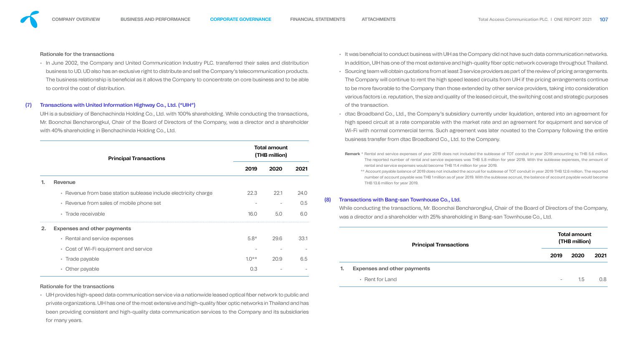# Rationale for the transactions

• In June 2002, the Company and United Communication Industry PLC. transferred their sales and distrik business to UD. UD also has an exclusive right to distribute and sell the Company's telecommunication prod The business relationship is beneficial as it allows the Company to concentrate on core business and to be to control the cost of distribution.

UIH is a subsidiary of Benchachinda Holding Co., Ltd. with 100% shareholding. While conducting the transaction Mr. Boonchai Bencharongkul, Chair of the Board of Directors of the Company, was a director and a shareh with 40% shareholding in Benchachinda Holding Co., Ltd.

# (7) Transactions with United Information Highway Co., Ltd. ("UIH")

• UIH provides high-speed data communication service via a nationwide leased optical fiber network to public private organizations. UIH has one of the most extensive and high-quality fiber optic networks in Thailand an been providing consistent and high-quality data communication services to the Company and its subsid for many years.

| <b>Principal Transactions</b><br><b>Revenue</b><br>• Revenue from base station sublease include electricity charge<br>• Revenue from sales of mobile phone set<br>• Trade receivable<br><b>Expenses and other payments</b><br>• Rental and service expenses<br>• Cost of Wi-Fi equipment and service<br>• Trade payable |         |      |                                      |
|-------------------------------------------------------------------------------------------------------------------------------------------------------------------------------------------------------------------------------------------------------------------------------------------------------------------------|---------|------|--------------------------------------|
|                                                                                                                                                                                                                                                                                                                         | 2019    | 2020 | 2021                                 |
|                                                                                                                                                                                                                                                                                                                         |         |      |                                      |
|                                                                                                                                                                                                                                                                                                                         | 22.3    | 22.1 | 24.0                                 |
|                                                                                                                                                                                                                                                                                                                         |         |      | 0.5                                  |
|                                                                                                                                                                                                                                                                                                                         | 16.0    | 5.0  | 6.0                                  |
|                                                                                                                                                                                                                                                                                                                         |         |      |                                      |
|                                                                                                                                                                                                                                                                                                                         | $5.8*$  | 29.6 | 33.1                                 |
|                                                                                                                                                                                                                                                                                                                         |         |      |                                      |
|                                                                                                                                                                                                                                                                                                                         | $1.0**$ | 20.9 | 6.5                                  |
| • Other payable                                                                                                                                                                                                                                                                                                         | 0.3     |      |                                      |
|                                                                                                                                                                                                                                                                                                                         |         |      | <b>Total amount</b><br>(THB million) |

## Rationale for the transactions

| lic and<br>nd has<br>diaries |     |                                                                                                                                                                                                                                                                                                                                                                                                |                   |                                      |                  |
|------------------------------|-----|------------------------------------------------------------------------------------------------------------------------------------------------------------------------------------------------------------------------------------------------------------------------------------------------------------------------------------------------------------------------------------------------|-------------------|--------------------------------------|------------------|
|                              |     | • Rent for Land                                                                                                                                                                                                                                                                                                                                                                                | $\qquad \qquad -$ | 1.5                                  | 0.8 <sub>0</sub> |
|                              |     | <b>Expenses and other payments</b>                                                                                                                                                                                                                                                                                                                                                             |                   |                                      |                  |
| 6.5                          |     |                                                                                                                                                                                                                                                                                                                                                                                                | 2019              | 2020                                 | 2021             |
| 33.1                         |     | <b>Principal Transactions</b>                                                                                                                                                                                                                                                                                                                                                                  |                   | <b>Total amount</b><br>(THB million) |                  |
|                              |     | was a director and a shareholder with 25% shareholding in Bang-san Townhouse Co., Ltd.                                                                                                                                                                                                                                                                                                         |                   |                                      |                  |
| 6.0                          |     | While conducting the transactions, Mr. Boonchai Bencharongkul, Chair of the Board of Directors of the Company,                                                                                                                                                                                                                                                                                 |                   |                                      |                  |
| 0.5                          | (8) | Transactions with Bang-san Townhouse Co., Ltd.                                                                                                                                                                                                                                                                                                                                                 |                   |                                      |                  |
| 2021<br>24.0                 |     | rental and service expenses would become THB 11.4 million for year 2019.<br>** Account payable balance of 2019 does not included the accrual for sublease of TOT conduit in year 2019 THB 12.6 million. The reported<br>number of account payable was THB 1 million as of year 2019. With the sublease accrual, the balance of account payable would become<br>THB 13.6 million for year 2019. |                   |                                      |                  |
|                              |     | Remark * Rental and service expenses of year 2019 does not included the sublease of TOT conduit in year 2019 amounting to THB 5.6 million.<br>The reported number of rental and service expenses was THB 5.8 million for year 2019. With the sublease expenses, the amount of                                                                                                                  |                   |                                      |                  |
|                              |     | business transfer from dtac Broadband Co., Ltd. to the Company.                                                                                                                                                                                                                                                                                                                                |                   |                                      |                  |
| holder                       |     | high speed circuit at a rate comparable with the market rate and an agreement for equipment and service of<br>Wi-Fi with normal commercial terms. Such agreement was later novated to the Company following the entire                                                                                                                                                                         |                   |                                      |                  |
| ctions,                      |     | of the transaction.<br>• dtac Broadband Co., Ltd., the Company's subsidiary currently under liquidation, entered into an agreement for                                                                                                                                                                                                                                                         |                   |                                      |                  |
|                              |     | to be more favorable to the Company than those extended by other service providers, taking into consideration<br>various factors i.e. reputation, the size and quality of the leased circuit, the switching cost and strategic purposes                                                                                                                                                        |                   |                                      |                  |
| e able                       |     | The Company will continue to rent the high speed leased circuits from UIH if the pricing arrangements continue                                                                                                                                                                                                                                                                                 |                   |                                      |                  |
| ducts.                       |     | • Sourcing team will obtain quotations from at least 3 service providers as part of the review of pricing arrangements.                                                                                                                                                                                                                                                                        |                   |                                      |                  |
| bution                       |     | • It was beneficial to conduct business with UIH as the Company did not have such data communication networks.<br>In addition, UIH has one of the most extensive and high-quality fiber optic network coverage throughout Thailand.                                                                                                                                                            |                   |                                      |                  |
|                              |     |                                                                                                                                                                                                                                                                                                                                                                                                |                   |                                      |                  |

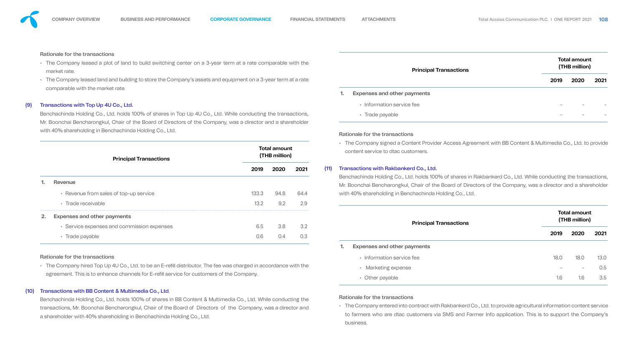

- market rate.
- 

#### (9) Transactions with Top Up 4U Co., Ltd.

#### (10) Transactions with BB Content & Multimedia Co., Ltd.

| Rationale for the transactions                                                                                               |       |      |      |      |                                                                                                                                                                                                                              |                                      |                                      |      |
|------------------------------------------------------------------------------------------------------------------------------|-------|------|------|------|------------------------------------------------------------------------------------------------------------------------------------------------------------------------------------------------------------------------------|--------------------------------------|--------------------------------------|------|
| • The Company leased a plot of land to build switching center on a 3-year term at a rate comparable with the<br>market rate. |       |      |      |      | <b>Principal Transactions</b>                                                                                                                                                                                                |                                      | <b>Total amount</b><br>(THB million) |      |
| • The Company leased land and building to store the Company's assets and equipment on a 3-year term at a rate                |       |      |      |      |                                                                                                                                                                                                                              | 2019                                 | 2020                                 | 2021 |
| comparable with the market rate.                                                                                             |       |      |      |      | <b>Expenses and other payments</b>                                                                                                                                                                                           |                                      |                                      |      |
| Transactions with Top Up 4U Co., Ltd.                                                                                        |       |      |      |      | • Information service fee                                                                                                                                                                                                    |                                      |                                      |      |
| Benchachinda Holding Co., Ltd. holds 100% of shares in Top Up 4U Co., Ltd. While conducting the transactions,                |       |      |      |      | • Trade payable                                                                                                                                                                                                              |                                      |                                      |      |
| Mr. Boonchai Bencharongkul, Chair of the Board of Directors of the Company, was a director and a shareholder                 |       |      |      |      |                                                                                                                                                                                                                              |                                      |                                      |      |
| with 40% shareholding in Benchachinda Holding Co., Ltd.                                                                      |       |      |      |      | <b>Rationale for the transactions</b>                                                                                                                                                                                        |                                      |                                      |      |
| <b>Total amount</b><br>(THB million)<br><b>Principal Transactions</b>                                                        |       |      |      |      | • The Company signed a Content Provider Access Agreement with BB Content & Multimedia Co., Ltd. to provide<br>content service to dtac customers.                                                                             |                                      |                                      |      |
|                                                                                                                              | 2019  | 2020 | 2021 | (11) | <b>Transactions with Rakbankerd Co., Ltd.</b>                                                                                                                                                                                |                                      |                                      |      |
|                                                                                                                              |       |      |      |      | Benchachinda Holding Co., Ltd. holds 100% of shares in Rakbankerd Co., Ltd. While conducting the transactions,                                                                                                               |                                      |                                      |      |
| Revenue                                                                                                                      |       |      |      |      | Mr. Boonchai Bencharongkul, Chair of the Board of Directors of the Company, was a director and a shareholder                                                                                                                 |                                      |                                      |      |
| • Revenue from sales of top-up service                                                                                       | 133.3 | 94.8 | 64.4 |      | with 40% shareholding in Benchachinda Holding Co., Ltd.                                                                                                                                                                      |                                      |                                      |      |
| • Trade receivable                                                                                                           | 13.2  | 9.2  | 2.9  |      |                                                                                                                                                                                                                              |                                      |                                      |      |
| <b>Expenses and other payments</b><br>2.                                                                                     |       |      |      |      |                                                                                                                                                                                                                              | <b>Total amount</b><br>(THB million) |                                      |      |
| • Service expenses and commission expenses                                                                                   | 6.5   | 3.8  | 3.2  |      | <b>Principal Transactions</b>                                                                                                                                                                                                |                                      |                                      |      |
| • Trade payable                                                                                                              | 0.6   | 0.4  | 0.3  |      |                                                                                                                                                                                                                              | 2019                                 | 2020                                 | 2021 |
|                                                                                                                              |       |      |      |      | <b>Expenses and other payments</b>                                                                                                                                                                                           |                                      |                                      |      |
| <b>Rationale for the transactions</b>                                                                                        |       |      |      |      | • Information service fee                                                                                                                                                                                                    | 18.0                                 | 18.0                                 | 13.0 |
| • The Company hired Top Up 4U Co., Ltd. to be an E-refill distributor. The fee was charged in accordance with the            |       |      |      |      | • Marketing expense                                                                                                                                                                                                          |                                      |                                      | 0.5  |
| agreement. This is to enhance channels for E-refill service for customers of the Company.                                    |       |      |      |      | • Other payable                                                                                                                                                                                                              | 1.6                                  | 1.6                                  | 3.5  |
| Transactions with BB Content & Multimedia Co., Ltd.                                                                          |       |      |      |      |                                                                                                                                                                                                                              |                                      |                                      |      |
| Benchachinda Holding Co., Ltd. holds 100% of shares in BB Content & Multimedia Co., Ltd. While conducting the                |       |      |      |      | <b>Rationale for the transactions</b>                                                                                                                                                                                        |                                      |                                      |      |
| transactions, Mr. Boonchai Bencharongkul, Chair of the Board of Directors of the Company, was a director and                 |       |      |      |      | • The Company entered into contract with Rakbankerd Co., Ltd. to provide agricultural information content service<br>to farmers who are dtac customers via SMS and Farmer Info application. This is to support the Company's |                                      |                                      |      |
| a shareholder with 40% shareholding in Benchachinda Holding Co., Ltd.                                                        |       |      |      |      | business.                                                                                                                                                                                                                    |                                      |                                      |      |

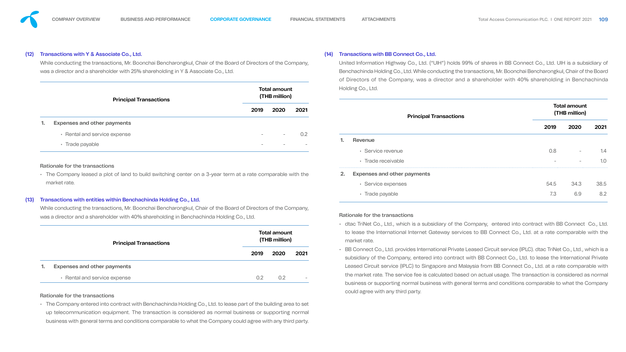#### (12) Transactions with Y & Associate Co., Ltd.

#### (13) Transactions with entities within Benchachinda Holding Co., Ltd.

| <b>Transactions with Y &amp; Associate Co., Ltd.</b><br>While conducting the transactions, Mr. Boonchai Bencharongkul, Chair of the Board of Directors of the Company,<br>was a director and a shareholder with 25% shareholding in Y & Associate Co., Ltd. |                                      |      |      |                                                                                                                                                                                                                           | <b>Transactions with BB Connect Co., Ltd.</b><br>United Information Highway Co., Ltd. ("UIH") holds 99% of shares in BB Connect Co., Ltd. UIH is a substi<br>Benchachinda Holding Co., Ltd. While conducting the transactions, Mr. Boonchai Bencharongkul, Chair of t<br>of Directors of the Company, was a director and a shareholder with 40% shareholding in Bench |      |                                      |  |  |
|-------------------------------------------------------------------------------------------------------------------------------------------------------------------------------------------------------------------------------------------------------------|--------------------------------------|------|------|---------------------------------------------------------------------------------------------------------------------------------------------------------------------------------------------------------------------------|-----------------------------------------------------------------------------------------------------------------------------------------------------------------------------------------------------------------------------------------------------------------------------------------------------------------------------------------------------------------------|------|--------------------------------------|--|--|
| <b>Principal Transactions</b>                                                                                                                                                                                                                               | <b>Total amount</b><br>(THB million) |      |      |                                                                                                                                                                                                                           | Holding Co., Ltd.                                                                                                                                                                                                                                                                                                                                                     |      |                                      |  |  |
|                                                                                                                                                                                                                                                             | 2019                                 | 2020 | 2021 |                                                                                                                                                                                                                           | <b>Principal Transactions</b>                                                                                                                                                                                                                                                                                                                                         |      | <b>Total amount</b><br>(THB million) |  |  |
| <b>Expenses and other payments</b>                                                                                                                                                                                                                          |                                      |      |      |                                                                                                                                                                                                                           |                                                                                                                                                                                                                                                                                                                                                                       | 2019 | <b>2020</b>                          |  |  |
| • Rental and service expense                                                                                                                                                                                                                                |                                      |      | 0.2  |                                                                                                                                                                                                                           | Revenue                                                                                                                                                                                                                                                                                                                                                               |      |                                      |  |  |
| • Trade payable                                                                                                                                                                                                                                             |                                      |      |      |                                                                                                                                                                                                                           | • Service revenue                                                                                                                                                                                                                                                                                                                                                     | 0.8  |                                      |  |  |
|                                                                                                                                                                                                                                                             |                                      |      |      |                                                                                                                                                                                                                           | • Trade receivable                                                                                                                                                                                                                                                                                                                                                    |      |                                      |  |  |
| <b>Rationale for the transactions</b><br>• The Company leased a plot of land to build switching center on a 3-year term at a rate comparable with the                                                                                                       |                                      |      |      |                                                                                                                                                                                                                           | <b>Expenses and other payments</b><br>2.                                                                                                                                                                                                                                                                                                                              |      |                                      |  |  |
| market rate.                                                                                                                                                                                                                                                |                                      |      |      |                                                                                                                                                                                                                           | • Service expenses                                                                                                                                                                                                                                                                                                                                                    | 54.5 | 34.3                                 |  |  |
| Transactions with entities within Benchachinda Holding Co., Ltd.                                                                                                                                                                                            |                                      |      |      |                                                                                                                                                                                                                           | · Trade payable                                                                                                                                                                                                                                                                                                                                                       | 7.3  | 6.9                                  |  |  |
| While conducting the transactions, Mr. Boonchai Bencharongkul, Chair of the Board of Directors of the Company,                                                                                                                                              |                                      |      |      |                                                                                                                                                                                                                           |                                                                                                                                                                                                                                                                                                                                                                       |      |                                      |  |  |
| was a director and a shareholder with 40% shareholding in Benchachinda Holding Co., Ltd.                                                                                                                                                                    |                                      |      |      |                                                                                                                                                                                                                           | <b>Rationale for the transactions</b>                                                                                                                                                                                                                                                                                                                                 |      |                                      |  |  |
| <b>Principal Transactions</b>                                                                                                                                                                                                                               | <b>Total amount</b><br>(THB million) |      |      | • dtac TriNet Co., Ltd., which is a subsidiary of the Company, entered into contract with BB Connect<br>to lease the International Internet Gateway services to BB Connect Co., Ltd. at a rate comparable<br>market rate. |                                                                                                                                                                                                                                                                                                                                                                       |      |                                      |  |  |
|                                                                                                                                                                                                                                                             | 2019                                 | 2020 | 2021 |                                                                                                                                                                                                                           | • BB Connect Co., Ltd. provides International Private Leased Circuit service (IPLC). dtac TriNet Co., Ltd., w<br>subsidiary of the Company, entered into contract with BB Connect Co., Ltd. to lease the Internationa                                                                                                                                                 |      |                                      |  |  |
| <b>Expenses and other payments</b>                                                                                                                                                                                                                          |                                      |      |      |                                                                                                                                                                                                                           | Leased Circuit service (IPLC) to Singapore and Malaysia from BB Connect Co., Ltd. at a rate compara                                                                                                                                                                                                                                                                   |      |                                      |  |  |
| • Rental and service expense                                                                                                                                                                                                                                | 0.2                                  | 0.2  |      |                                                                                                                                                                                                                           | the market rate. The service fee is calculated based on actual usage. The transaction is considered a                                                                                                                                                                                                                                                                 |      |                                      |  |  |
| <b>Rationale for the transactions</b>                                                                                                                                                                                                                       |                                      |      |      |                                                                                                                                                                                                                           | business or supporting normal business with general terms and conditions comparable to what the C<br>could agree with any third party.                                                                                                                                                                                                                                |      |                                      |  |  |
| • The Company entered into contract with Benchachinda Holding Co., Ltd. to lease part of the building area to set<br>up telecommunication equipment. The transaction is considered as normal business or supporting normal                                  |                                      |      |      |                                                                                                                                                                                                                           |                                                                                                                                                                                                                                                                                                                                                                       |      |                                      |  |  |
| business with general terms and conditions comparable to what the Company could agree with any third party.                                                                                                                                                 |                                      |      |      |                                                                                                                                                                                                                           |                                                                                                                                                                                                                                                                                                                                                                       |      |                                      |  |  |



| <b>Transactions with Y &amp; Associate Co., Ltd.</b><br>While conducting the transactions, Mr. Boonchai Bencharongkul, Chair of the Board of Directors of the Company,<br>was a director and a shareholder with 25% shareholding in Y & Associate Co., Ltd.                                                                               |      |      |      |  | <b>Transactions with BB Connect Co., Ltd.</b><br>(14)                                                                                                                                                                                        |      |                                                             |      |  |  |
|-------------------------------------------------------------------------------------------------------------------------------------------------------------------------------------------------------------------------------------------------------------------------------------------------------------------------------------------|------|------|------|--|----------------------------------------------------------------------------------------------------------------------------------------------------------------------------------------------------------------------------------------------|------|-------------------------------------------------------------|------|--|--|
|                                                                                                                                                                                                                                                                                                                                           |      |      |      |  | United Information Highway Co., Ltd. ("UIH") holds 99% of shares in BB Connect Co., Ltd. UIH is a subsidiary of<br>Benchachinda Holding Co., Ltd. While conducting the transactions, Mr. Boonchai Bencharongkul, Chair of the Board          |      |                                                             |      |  |  |
| <b>Total amount</b><br>(THB million)                                                                                                                                                                                                                                                                                                      |      |      |      |  | of Directors of the Company, was a director and a shareholder with 40% shareholding in Benchachinda<br>Holding Co., Ltd.                                                                                                                     |      |                                                             |      |  |  |
| <b>Principal Transactions</b>                                                                                                                                                                                                                                                                                                             | 2019 | 2020 | 2021 |  |                                                                                                                                                                                                                                              |      |                                                             |      |  |  |
| <b>Expenses and other payments</b>                                                                                                                                                                                                                                                                                                        |      |      |      |  | <b>Principal Transactions</b>                                                                                                                                                                                                                | 2019 | <b>Total amount</b><br>(THB million)<br>2020<br>34.3<br>6.9 | 2021 |  |  |
| • Rental and service expense                                                                                                                                                                                                                                                                                                              |      |      | 0.2  |  | <b>Revenue</b>                                                                                                                                                                                                                               |      |                                                             |      |  |  |
| • Trade payable                                                                                                                                                                                                                                                                                                                           |      |      |      |  | • Service revenue                                                                                                                                                                                                                            | 0.8  |                                                             | 1.4  |  |  |
|                                                                                                                                                                                                                                                                                                                                           |      |      |      |  | • Trade receivable                                                                                                                                                                                                                           |      |                                                             | 1.0  |  |  |
| <b>Rationale for the transactions</b><br>• The Company leased a plot of land to build switching center on a 3-year term at a rate comparable with the                                                                                                                                                                                     |      |      |      |  | <b>Expenses and other payments</b><br>2.                                                                                                                                                                                                     |      |                                                             |      |  |  |
| market rate.                                                                                                                                                                                                                                                                                                                              |      |      |      |  | • Service expenses                                                                                                                                                                                                                           | 54.5 |                                                             | 38.5 |  |  |
|                                                                                                                                                                                                                                                                                                                                           |      |      |      |  | · Trade payable                                                                                                                                                                                                                              | 7.3  |                                                             | 8.2  |  |  |
| Transactions with entities within Benchachinda Holding Co., Ltd.<br>While conducting the transactions, Mr. Boonchai Bencharongkul, Chair of the Board of Directors of the Company,                                                                                                                                                        |      |      |      |  |                                                                                                                                                                                                                                              |      |                                                             |      |  |  |
| was a director and a shareholder with 40% shareholding in Benchachinda Holding Co., Ltd.                                                                                                                                                                                                                                                  |      |      |      |  | <b>Rationale for the transactions</b>                                                                                                                                                                                                        |      |                                                             |      |  |  |
| <b>Total amount</b><br>(THB million)<br><b>Principal Transactions</b>                                                                                                                                                                                                                                                                     |      |      |      |  | • dtac TriNet Co., Ltd., which is a subsidiary of the Company, entered into contract with BB Connect Co., Ltd.<br>to lease the International Internet Gateway services to BB Connect Co., Ltd. at a rate comparable with the<br>market rate. |      |                                                             |      |  |  |
|                                                                                                                                                                                                                                                                                                                                           | 2019 | 2020 | 2021 |  | • BB Connect Co., Ltd. provides International Private Leased Circuit service (IPLC). dtac TriNet Co., Ltd., which is a<br>subsidiary of the Company, entered into contract with BB Connect Co., Ltd. to lease the International Private      |      |                                                             |      |  |  |
| <b>Expenses and other payments</b>                                                                                                                                                                                                                                                                                                        |      |      |      |  | Leased Circuit service (IPLC) to Singapore and Malaysia from BB Connect Co., Ltd. at a rate comparable with                                                                                                                                  |      |                                                             |      |  |  |
| • Rental and service expense                                                                                                                                                                                                                                                                                                              | 0.2  | 0.2  |      |  | the market rate. The service fee is calculated based on actual usage. The transaction is considered as normal                                                                                                                                |      |                                                             |      |  |  |
| <b>Rationale for the transactions</b>                                                                                                                                                                                                                                                                                                     |      |      |      |  | business or supporting normal business with general terms and conditions comparable to what the Company<br>could agree with any third party.                                                                                                 |      |                                                             |      |  |  |
| • The Company entered into contract with Benchachinda Holding Co., Ltd. to lease part of the building area to set<br>up telecommunication equipment. The transaction is considered as normal business or supporting normal<br>business with general terms and conditions comparable to what the Company could agree with any third party. |      |      |      |  |                                                                                                                                                                                                                                              |      |                                                             |      |  |  |

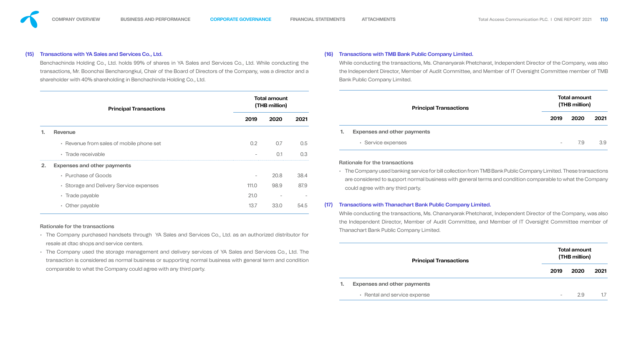### (15) Transactions with YA Sales and Services Co., Ltd.

Benchachinda Holding Co., Ltd. holds 99% of shares in YA Sales and Services Co., Ltd. While conducting the transactions, Mr. Boonchai Bencharongkul, Chair of the Board of Directors of the Company, was a director and a shareholder with 40% shareholding in Benchachinda Holding Co., Ltd.

### (16) Transactions with TMB Bank Public Company Limited.

# While conducting the transactions, Ms. Chananyarak Phetcharat, Independent Director of the Company, was also the Independent Director, Member of Audit Committee, and Member of IT Oversight Committee member of TMB Bank Public Company Limited.

|                                                                                                                                                                                                                                                                   | <b>Principal Transactions</b>                                                                                                                      |                          | <b>Total amount</b><br>(THB million) |      | <b>Principal Transactions</b>                                                                                                                                                                                                                                  |                  | <b>Total amount</b><br>(THB million) |      |  |  |
|-------------------------------------------------------------------------------------------------------------------------------------------------------------------------------------------------------------------------------------------------------------------|----------------------------------------------------------------------------------------------------------------------------------------------------|--------------------------|--------------------------------------|------|----------------------------------------------------------------------------------------------------------------------------------------------------------------------------------------------------------------------------------------------------------------|------------------|--------------------------------------|------|--|--|
|                                                                                                                                                                                                                                                                   |                                                                                                                                                    |                          | 2020                                 | 2021 |                                                                                                                                                                                                                                                                | 2019             | 2020                                 | 2021 |  |  |
|                                                                                                                                                                                                                                                                   | <b>Revenue</b>                                                                                                                                     |                          |                                      |      | <b>Expenses and other payments</b>                                                                                                                                                                                                                             |                  |                                      |      |  |  |
|                                                                                                                                                                                                                                                                   | • Revenue from sales of mobile phone set                                                                                                           | 0.2                      | 0.7                                  | 0.5  | • Service expenses                                                                                                                                                                                                                                             | $\hspace{0.1mm}$ | 7.9                                  | 3.9  |  |  |
|                                                                                                                                                                                                                                                                   | • Trade receivable                                                                                                                                 |                          | O.1                                  | 0.3  |                                                                                                                                                                                                                                                                |                  |                                      |      |  |  |
|                                                                                                                                                                                                                                                                   | <b>Expenses and other payments</b>                                                                                                                 |                          |                                      |      | <b>Rationale for the transactions</b>                                                                                                                                                                                                                          |                  |                                      |      |  |  |
|                                                                                                                                                                                                                                                                   | • Purchase of Goods                                                                                                                                | $\overline{\phantom{a}}$ | 20.8                                 | 38.4 | • The Company used banking service for bill collection from TMB Bank Public Company Limited. These transactions                                                                                                                                                |                  |                                      |      |  |  |
|                                                                                                                                                                                                                                                                   | • Storage and Delivery Service expenses                                                                                                            | 111.0                    | 98.9                                 | 87.9 | are considered to support normal business with general terms and condition comparable to what the Company<br>could agree with any third party.                                                                                                                 |                  |                                      |      |  |  |
|                                                                                                                                                                                                                                                                   | • Trade payable                                                                                                                                    | 21.0                     |                                      |      |                                                                                                                                                                                                                                                                |                  |                                      |      |  |  |
|                                                                                                                                                                                                                                                                   | • Other payable                                                                                                                                    | 13.7                     | 33.0                                 | 54.5 | <b>Transactions with Thanachart Bank Public Company Limited.</b><br>(17)                                                                                                                                                                                       |                  |                                      |      |  |  |
|                                                                                                                                                                                                                                                                   | <b>Rationale for the transactions</b><br>• The Company purchased handsets through YA Sales and Services Co., Ltd. as an authorized distributor for |                          |                                      |      | While conducting the transactions, Ms. Chananyarak Phetcharat, Independent Director of the Company, was also<br>the Independent Director, Member of Audit Committee, and Member of IT Oversight Committee member of<br>Thanachart Bank Public Company Limited. |                  |                                      |      |  |  |
| resale at dtac shops and service centers.<br>• The Company used the storage management and delivery services of YA Sales and Services Co., Ltd. The<br>transaction is considered as normal business or supporting normal business with general term and condition |                                                                                                                                                    |                          |                                      |      | <b>Principal Transactions</b>                                                                                                                                                                                                                                  |                  | <b>Total amount</b><br>(THB million) |      |  |  |
|                                                                                                                                                                                                                                                                   | comparable to what the Company could agree with any third party.                                                                                   |                          |                                      |      |                                                                                                                                                                                                                                                                | 2019             | 2020                                 | 2021 |  |  |
|                                                                                                                                                                                                                                                                   |                                                                                                                                                    |                          |                                      |      | <b>Expenses and other payments</b>                                                                                                                                                                                                                             |                  |                                      |      |  |  |
|                                                                                                                                                                                                                                                                   |                                                                                                                                                    |                          |                                      |      | • Rental and service expense                                                                                                                                                                                                                                   |                  |                                      | 1.7  |  |  |

- 
- 





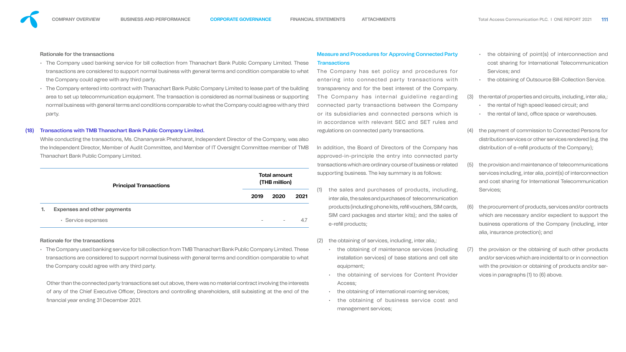# Rationale for the transactions

While conducting the transactions, Ms. Chananyarak Phetcharat, Independent Director of the Company, was also the Independent Director, Member of Audit Committee, and Member of IT Oversight Committee member of TMB Thanachart Bank Public Company Limited.

|    | <b>Principal Transactions</b>      | <b>Total amount</b><br>(THB million) |      |  |  |  |  |
|----|------------------------------------|--------------------------------------|------|--|--|--|--|
|    |                                    | 2019                                 | 2020 |  |  |  |  |
| 1. | <b>Expenses and other payments</b> |                                      |      |  |  |  |  |

• Service expenses 4.7

- The Company used banking service for bill collection from Thanachart Bank Public Company Limited. These transactions are considered to support normal business with general terms and condition comparable to what the Company could agree with any third party.
- The Company entered into contract with Thanachart Bank Public Company Limited to lease part of the building area to set up telecommunication equipment. The transaction is considered as normal business or supporting normal business with general terms and conditions comparable to what the Company could agree with any third party. entering into connected party transactions with transparency and for the best interest of the Company. The Company has internal guideline regarding connected party transactions between the Company or its subsidiaries and connected persons which is in accordance with relevant SEC and SET rules and regulations on connected party transactions.

# **Transactions with TMB Thanachart Bank Public Company Limited.**

## Rationale for the transactions

Other than the connected party transactions set out above, there was no material contract involving the interests of any of the Chief Executive Officer, Directors and controlling shareholders, still subsisting at the end of the nancial year ending 31 December 2021.

# Measure and Procedures for Approving Connected Party **Transactions** The Company has set policy and procedures for

• The Company used banking service for bill collection from TMB Thanachart Bank Public Company Limited. These transactions are considered to support normal business with general terms and condition comparable to what the Company could agree with any third party. the obtaining of maintenance services (including installation services) of base stations and cell site equipment;

- the obtaining of point(s) of interconnection and cost sharing for International Telecommunication Services; and
- the obtaining of Outsource Bill-Collection Service.
- (3) the rental of properties and circuits, including, inter alia,:
	- the rental of high speed leased circuit; and
	- the rental of land, office space or warehouses.
- (4) the payment of commission to Connected Persons for distribution services or other services rendered (e.g. the distribution of e-refill products of the Company);
- (5) the provision and maintenance of telecommunications services including, inter alia, point(s) of interconnection and cost sharing for International Telecommunication Services;
- (6) the procurement of products, services and/or contracts which are necessary and/or expedient to support the business operations of the Company (including, inter alia, insurance protection); and
- (7) the provision or the obtaining of such other products and/or services which are incidental to or in connection with the provision or obtaining of products and/or services in paragraphs (1) to (6) above.





- 
- In addition, the Board of Directors of the Company has approved-in-principle the entry into connected party transactions which are ordinary course of business or related supporting business. The key summary is as follows:
- **2019 2020 2021** (1) the sales and purchases of products, including, inter alia, the sales and purchases of telecommunication products (including phone kits, refill vouchers, SIM cards, SIM card packages and starter kits); and the sales of e-refill products;
	- (2) the obtaining of services, including, inter alia,:
		- the obtaining of services for Content Provider Access;
		- the obtaining of international roaming services;
		- the obtaining of business service cost and management services;